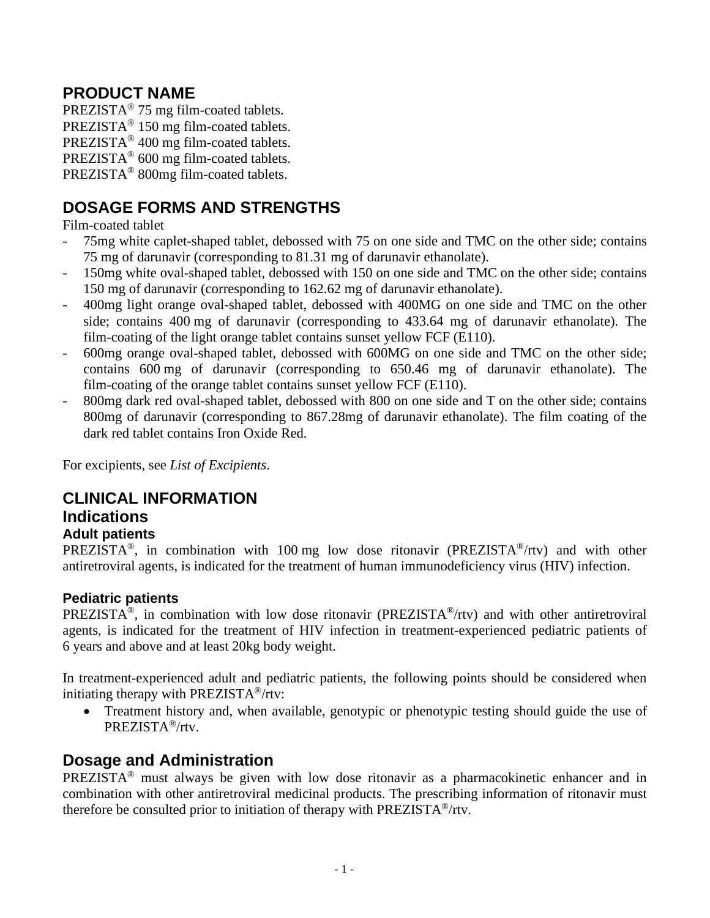# **PRODUCT NAME**

PREZISTA® 75 mg film-coated tablets. PREZISTA® 150 mg film-coated tablets. PREZISTA® 400 mg film-coated tablets. PREZISTA® 600 mg film-coated tablets. PREZISTA® 800mg film-coated tablets.

# **DOSAGE FORMS AND STRENGTHS**

Film-coated tablet

- 75mg white caplet-shaped tablet, debossed with 75 on one side and TMC on the other side; contains 75 mg of darunavir (corresponding to 81.31 mg of darunavir ethanolate).
- 150mg white oval-shaped tablet, debossed with 150 on one side and TMC on the other side; contains 150 mg of darunavir (corresponding to 162.62 mg of darunavir ethanolate).
- 400mg light orange oval-shaped tablet, debossed with 400MG on one side and TMC on the other side; contains 400 mg of darunavir (corresponding to 433.64 mg of darunavir ethanolate). The film-coating of the light orange tablet contains sunset yellow FCF (E110).
- 600mg orange oval-shaped tablet, debossed with 600MG on one side and TMC on the other side; contains 600 mg of darunavir (corresponding to 650.46 mg of darunavir ethanolate). The film-coating of the orange tablet contains sunset yellow FCF (E110).
- 800mg dark red oval-shaped tablet, debossed with 800 on one side and T on the other side; contains 800mg of darunavir (corresponding to 867.28mg of darunavir ethanolate). The film coating of the dark red tablet contains Iron Oxide Red.

For excipients, see *List of Excipients*.

# **CLINICAL INFORMATION**

### **Indications**

### **Adult patients**

PREZISTA<sup>®</sup>, in combination with 100 mg low dose ritonavir (PREZISTA<sup>®</sup>/rtv) and with other antiretroviral agents, is indicated for the treatment of human immunodeficiency virus (HIV) infection.

### **Pediatric patients**

PREZISTA®, in combination with low dose ritonavir (PREZISTA®/rtv) and with other antiretroviral agents, is indicated for the treatment of HIV infection in treatment-experienced pediatric patients of 6 years and above and at least 20kg body weight.

In treatment-experienced adult and pediatric patients, the following points should be considered when initiating therapy with PREZISTA®/rtv:

• Treatment history and, when available, genotypic or phenotypic testing should guide the use of PREZISTA®/rtv.

## **Dosage and Administration**

PREZISTA® must always be given with low dose ritonavir as a pharmacokinetic enhancer and in combination with other antiretroviral medicinal products. The prescribing information of ritonavir must therefore be consulted prior to initiation of therapy with PREZISTA®/rtv.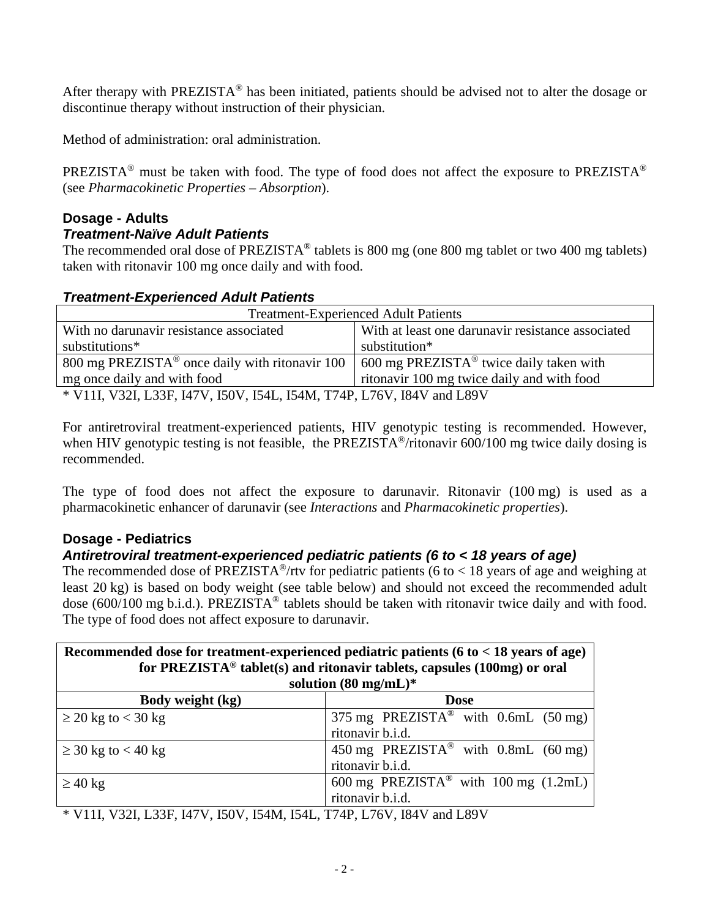After therapy with PREZISTA® has been initiated, patients should be advised not to alter the dosage or discontinue therapy without instruction of their physician.

Method of administration: oral administration.

PREZISTA® must be taken with food. The type of food does not affect the exposure to PREZISTA® (see *Pharmacokinetic Properties – Absorption*).

#### **Dosage - Adults** *Treatment-Naïve Adult Patients*

The recommended oral dose of PREZISTA<sup>®</sup> tablets is 800 mg (one 800 mg tablet or two 400 mg tablets) taken with ritonavir 100 mg once daily and with food.

### *Treatment-Experienced Adult Patients*

| <b>Treatment-Experienced Adult Patients</b>                                                                      |                                                   |  |  |  |
|------------------------------------------------------------------------------------------------------------------|---------------------------------------------------|--|--|--|
| With no darunavir resistance associated                                                                          | With at least one darunavir resistance associated |  |  |  |
| substitution*<br>substitutions*                                                                                  |                                                   |  |  |  |
| 800 mg PREZISTA <sup>®</sup> once daily with ritonavir 100   600 mg PREZISTA <sup>®</sup> twice daily taken with |                                                   |  |  |  |
| ritonavir 100 mg twice daily and with food<br>mg once daily and with food                                        |                                                   |  |  |  |
| * V11I, V32I, L33F, I47V, I50V, I54L, I54M, T74P, L76V, I84V and L89V                                            |                                                   |  |  |  |

For antiretroviral treatment-experienced patients, HIV genotypic testing is recommended. However, when HIV genotypic testing is not feasible, the PREZISTA<sup>®</sup>/ritonavir 600/100 mg twice daily dosing is recommended.

The type of food does not affect the exposure to darunavir. Ritonavir (100 mg) is used as a pharmacokinetic enhancer of darunavir (see *Interactions* and *Pharmacokinetic properties*).

### **Dosage - Pediatrics**

### *Antiretroviral treatment-experienced pediatric patients (6 to < 18 years of age)*

The recommended dose of PREZISTA<sup>®</sup>/rtv for pediatric patients (6 to < 18 years of age and weighing at least 20 kg) is based on body weight (see table below) and should not exceed the recommended adult dose (600/100 mg b.i.d.). PREZISTA® tablets should be taken with ritonavir twice daily and with food. The type of food does not affect exposure to darunavir.

| Recommended dose for treatment-experienced pediatric patients ( $6$ to $<$ 18 years of age)<br>for PREZISTA <sup>®</sup> tablet(s) and ritonavir tablets, capsules (100mg) or oral |                                                    |  |  |  |
|------------------------------------------------------------------------------------------------------------------------------------------------------------------------------------|----------------------------------------------------|--|--|--|
|                                                                                                                                                                                    | solution $(80 \text{ mg/mL})^*$                    |  |  |  |
| Body weight (kg)<br><b>Dose</b>                                                                                                                                                    |                                                    |  |  |  |
| $\geq$ 20 kg to < 30 kg                                                                                                                                                            | 375 mg PREZISTA <sup>®</sup> with 0.6mL (50 mg)    |  |  |  |
|                                                                                                                                                                                    | ritonavir b.i.d.                                   |  |  |  |
| $\geq$ 30 kg to < 40 kg                                                                                                                                                            | 450 mg PREZISTA <sup>®</sup> with 0.8mL (60 mg)    |  |  |  |
|                                                                                                                                                                                    | ritonavir b.i.d.                                   |  |  |  |
| $\geq 40$ kg                                                                                                                                                                       | 600 mg PREZISTA <sup>®</sup> with 100 mg $(1.2mL)$ |  |  |  |
|                                                                                                                                                                                    | ritonavir b.i.d.                                   |  |  |  |

\* V11I, V32I, L33F, I47V, I50V, I54M, I54L, T74P, L76V, I84V and L89V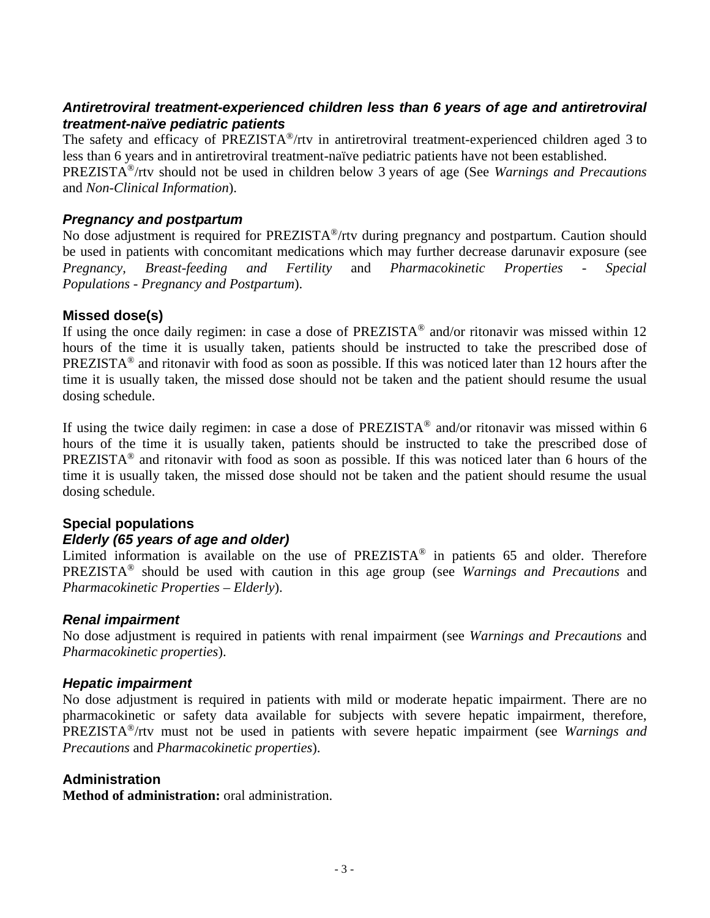### *Antiretroviral treatment-experienced children less than 6 years of age and antiretroviral treatment-naïve pediatric patients*

The safety and efficacy of PREZISTA®/rtv in antiretroviral treatment-experienced children aged 3 to less than 6 years and in antiretroviral treatment-naïve pediatric patients have not been established.

PREZISTA®/rtv should not be used in children below 3 years of age (See *Warnings and Precautions* and *Non-Clinical Information*).

### *Pregnancy and postpartum*

No dose adjustment is required for PREZISTA®/rtv during pregnancy and postpartum. Caution should be used in patients with concomitant medications which may further decrease darunavir exposure (see<br>Pregnancy Represent-feeding and Fertility and Pharmacokinetic Properties - Special *Pregnancy, Breast-feeding and Fertility* and *Pharmacokinetic Properties - Special Populations - Pregnancy and Postpartum*).

### **Missed dose(s)**

If using the once daily regimen: in case a dose of PREZISTA<sup>®</sup> and/or ritonavir was missed within 12 hours of the time it is usually taken, patients should be instructed to take the prescribed dose of PREZISTA® and ritonavir with food as soon as possible. If this was noticed later than 12 hours after the time it is usually taken, the missed dose should not be taken and the patient should resume the usual dosing schedule.

If using the twice daily regimen: in case a dose of  $PREZISTA^{\circledcirc}$  and/or ritonavir was missed within 6 hours of the time it is usually taken, patients should be instructed to take the prescribed dose of PREZISTA® and ritonavir with food as soon as possible. If this was noticed later than 6 hours of the time it is usually taken, the missed dose should not be taken and the patient should resume the usual dosing schedule.

### **Special populations**

### *Elderly (65 years of age and older)*

Limited information is available on the use of  $PREZISTA^{\circledR}$  in patients 65 and older. Therefore PREZISTA® should be used with caution in this age group (see *Warnings and Precautions* and *Pharmacokinetic Properties – Elderly*).

### *Renal impairment*

No dose adjustment is required in patients with renal impairment (see *Warnings and Precautions* and *Pharmacokinetic properties*).

### *Hepatic impairment*

No dose adjustment is required in patients with mild or moderate hepatic impairment. There are no pharmacokinetic or safety data available for subjects with severe hepatic impairment, therefore, PREZISTA®/rtv must not be used in patients with severe hepatic impairment (see *Warnings and Precautions* and *Pharmacokinetic properties*).

### **Administration**

**Method of administration:** oral administration.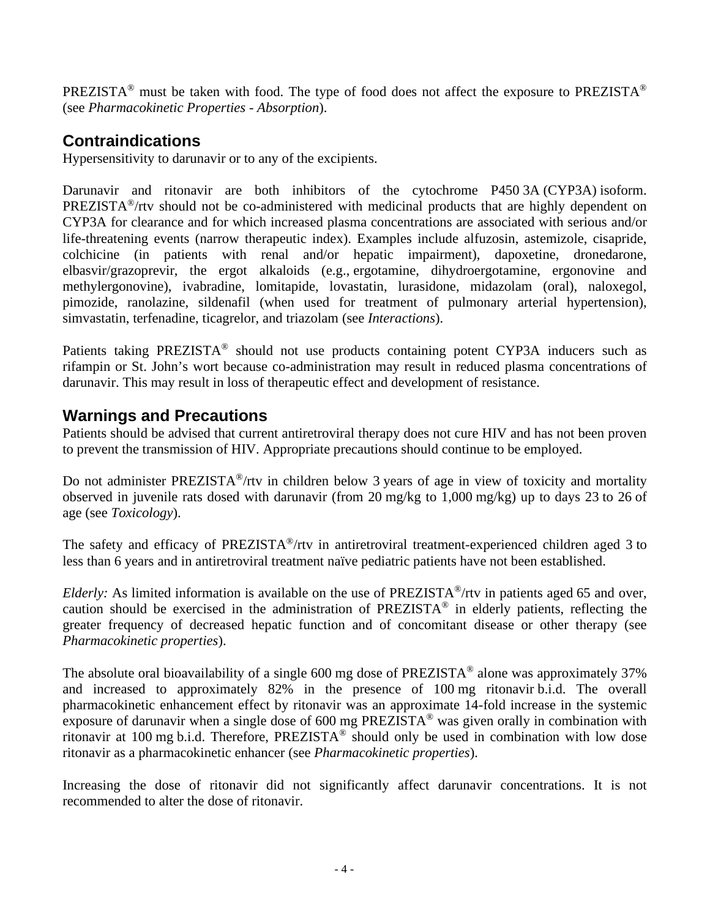PREZISTA® must be taken with food. The type of food does not affect the exposure to PREZISTA® (see *Pharmacokinetic Properties - Absorption*).

## **Contraindications**

Hypersensitivity to darunavir or to any of the excipients.

Darunavir and ritonavir are both inhibitors of the cytochrome P450 3A (CYP3A) isoform. PREZISTA®/rtv should not be co-administered with medicinal products that are highly dependent on CYP3A for clearance and for which increased plasma concentrations are associated with serious and/or life-threatening events (narrow therapeutic index). Examples include alfuzosin, astemizole, cisapride, colchicine (in patients with renal and/or hepatic impairment), dapoxetine, dronedarone, elbasvir/grazoprevir, the ergot alkaloids (e.g., ergotamine, dihydroergotamine, ergonovine and methylergonovine), ivabradine, lomitapide, lovastatin, lurasidone, midazolam (oral), naloxegol, pimozide, ranolazine, sildenafil (when used for treatment of pulmonary arterial hypertension), simvastatin, terfenadine, ticagrelor, and triazolam (see *Interactions*).

Patients taking PREZISTA<sup>®</sup> should not use products containing potent CYP3A inducers such as rifampin or St. John's wort because co-administration may result in reduced plasma concentrations of darunavir. This may result in loss of therapeutic effect and development of resistance.

## **Warnings and Precautions**

Patients should be advised that current antiretroviral therapy does not cure HIV and has not been proven to prevent the transmission of HIV. Appropriate precautions should continue to be employed.

Do not administer PREZISTA<sup>®</sup>/rtv in children below 3 years of age in view of toxicity and mortality observed in juvenile rats dosed with darunavir (from 20 mg/kg to 1,000 mg/kg) up to days 23 to 26 of age (see *Toxicology*).

The safety and efficacy of PREZISTA<sup>®</sup>/rtv in antiretroviral treatment-experienced children aged 3 to less than 6 years and in antiretroviral treatment naïve pediatric patients have not been established.

*Elderly:* As limited information is available on the use of PREZISTA<sup>®</sup>/rtv in patients aged 65 and over, caution should be exercised in the administration of PREZISTA® in elderly patients, reflecting the greater frequency of decreased hepatic function and of concomitant disease or other therapy (see *Pharmacokinetic properties*).

The absolute oral bioavailability of a single 600 mg dose of PREZISTA<sup>®</sup> alone was approximately 37% and increased to approximately 82% in the presence of 100 mg ritonavir b.i.d. The overall pharmacokinetic enhancement effect by ritonavir was an approximate 14-fold increase in the systemic exposure of darunavir when a single dose of 600 mg PREZISTA<sup>®</sup> was given orally in combination with ritonavir at 100 mg b.i.d. Therefore, PREZISTA® should only be used in combination with low dose ritonavir as a pharmacokinetic enhancer (see *Pharmacokinetic properties*).

Increasing the dose of ritonavir did not significantly affect darunavir concentrations. It is not recommended to alter the dose of ritonavir.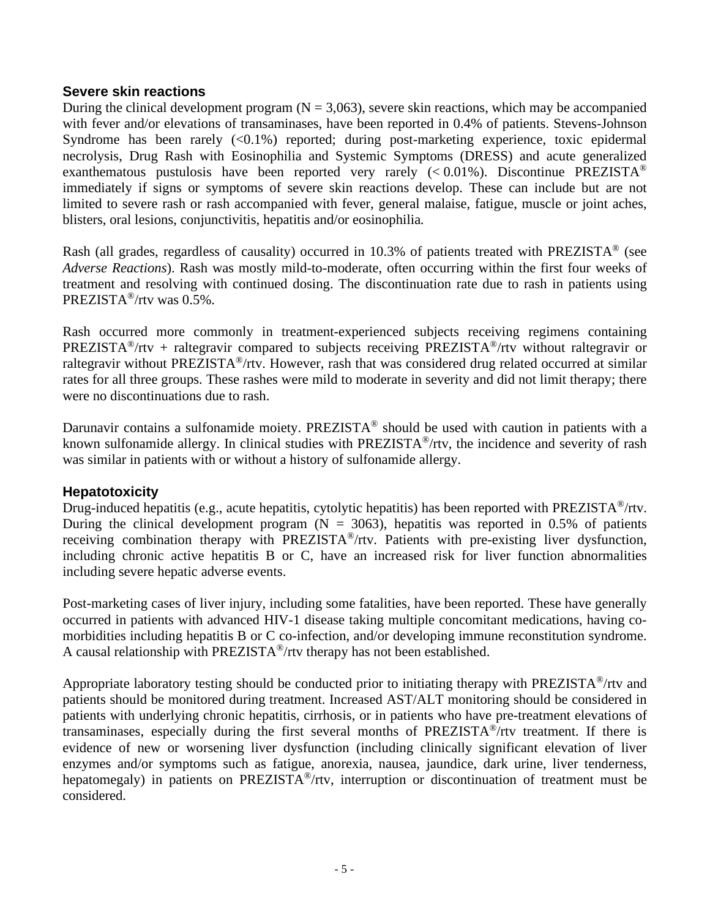### **Severe skin reactions**

During the clinical development program ( $N = 3,063$ ), severe skin reactions, which may be accompanied with fever and/or elevations of transaminases, have been reported in 0.4% of patients. Stevens-Johnson Syndrome has been rarely  $\langle 0.1\% \rangle$  reported; during post-marketing experience, toxic epidermal necrolysis, Drug Rash with Eosinophilia and Systemic Symptoms (DRESS) and acute generalized exanthematous pustulosis have been reported very rarely  $(< 0.01\%)$ . Discontinue PREZISTA<sup>®</sup> immediately if signs or symptoms of severe skin reactions develop. These can include but are not limited to severe rash or rash accompanied with fever, general malaise, fatigue, muscle or joint aches, blisters, oral lesions, conjunctivitis, hepatitis and/or eosinophilia*.* 

Rash (all grades, regardless of causality) occurred in 10.3% of patients treated with PREZISTA® (see *Adverse Reactions*). Rash was mostly mild-to-moderate, often occurring within the first four weeks of treatment and resolving with continued dosing. The discontinuation rate due to rash in patients using PREZISTA®/rtv was 0.5%.

Rash occurred more commonly in treatment-experienced subjects receiving regimens containing PREZISTA<sup>®</sup>/rtv + raltegravir compared to subjects receiving PREZISTA<sup>®</sup>/rtv without raltegravir or raltegravir without PREZISTA®/rtv. However, rash that was considered drug related occurred at similar rates for all three groups. These rashes were mild to moderate in severity and did not limit therapy; there were no discontinuations due to rash.

Darunavir contains a sulfonamide moiety. PREZISTA<sup>®</sup> should be used with caution in patients with a known sulfonamide allergy. In clinical studies with PREZISTA®/rtv, the incidence and severity of rash was similar in patients with or without a history of sulfonamide allergy.

### **Hepatotoxicity**

Drug-induced hepatitis (e.g., acute hepatitis, cytolytic hepatitis) has been reported with PREZISTA<sup>®</sup>/rtv. During the clinical development program ( $N = 3063$ ), hepatitis was reported in 0.5% of patients receiving combination therapy with PREZISTA®/rtv. Patients with pre-existing liver dysfunction, including chronic active hepatitis B or C, have an increased risk for liver function abnormalities including severe hepatic adverse events.

Post-marketing cases of liver injury, including some fatalities, have been reported. These have generally occurred in patients with advanced HIV-1 disease taking multiple concomitant medications, having comorbidities including hepatitis B or C co-infection, and/or developing immune reconstitution syndrome. A causal relationship with PREZISTA®/rtv therapy has not been established.

Appropriate laboratory testing should be conducted prior to initiating therapy with PREZISTA®/rtv and patients should be monitored during treatment. Increased AST/ALT monitoring should be considered in patients with underlying chronic hepatitis, cirrhosis, or in patients who have pre-treatment elevations of transaminases, especially during the first several months of PREZISTA®/rtv treatment. If there is evidence of new or worsening liver dysfunction (including clinically significant elevation of liver enzymes and/or symptoms such as fatigue, anorexia, nausea, jaundice, dark urine, liver tenderness, hepatomegaly) in patients on PREZISTA<sup>®</sup>/rtv, interruption or discontinuation of treatment must be considered.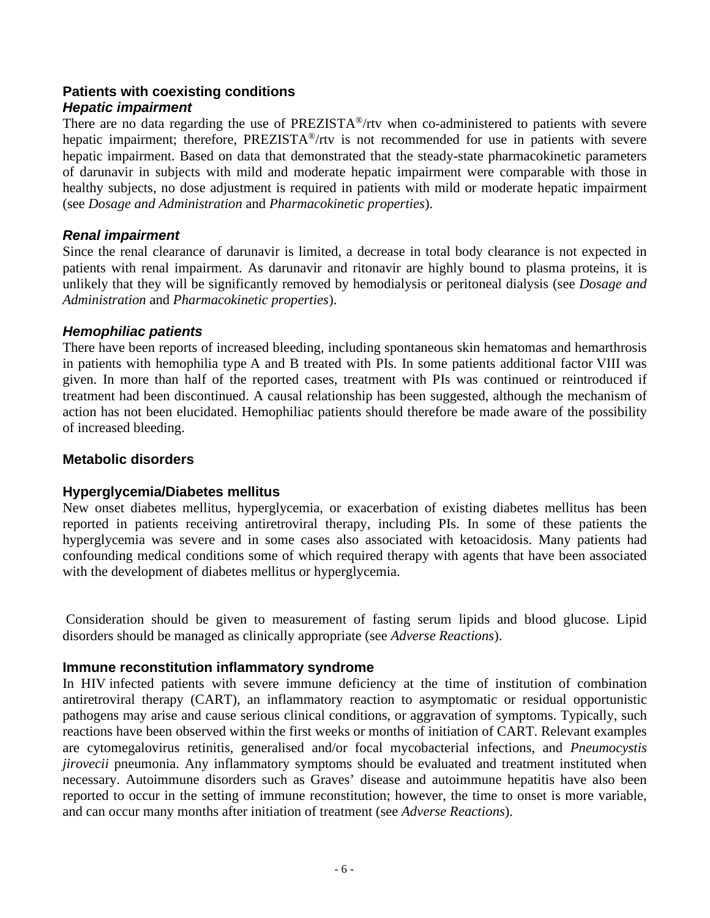#### **Patients with coexisting conditions** *Hepatic impairment*

There are no data regarding the use of  $PREZISTA^{\circledast}/r$ tv when co-administered to patients with severe hepatic impairment; therefore, PREZISTA<sup>®</sup>/rtv is not recommended for use in patients with severe hepatic impairment. Based on data that demonstrated that the steady-state pharmacokinetic parameters of darunavir in subjects with mild and moderate hepatic impairment were comparable with those in healthy subjects, no dose adjustment is required in patients with mild or moderate hepatic impairment (see *Dosage and Administration* and *Pharmacokinetic properties*).

### *Renal impairment*

Since the renal clearance of darunavir is limited, a decrease in total body clearance is not expected in patients with renal impairment. As darunavir and ritonavir are highly bound to plasma proteins, it is unlikely that they will be significantly removed by hemodialysis or peritoneal dialysis (see *Dosage and Administration* and *Pharmacokinetic properties*).

### *Hemophiliac patients*

There have been reports of increased bleeding, including spontaneous skin hematomas and hemarthrosis in patients with hemophilia type A and B treated with PIs. In some patients additional factor VIII was given. In more than half of the reported cases, treatment with PIs was continued or reintroduced if treatment had been discontinued. A causal relationship has been suggested, although the mechanism of action has not been elucidated. Hemophiliac patients should therefore be made aware of the possibility of increased bleeding.

### **Metabolic disorders**

### **Hyperglycemia/Diabetes mellitus**

New onset diabetes mellitus, hyperglycemia, or exacerbation of existing diabetes mellitus has been reported in patients receiving antiretroviral therapy, including PIs. In some of these patients the hyperglycemia was severe and in some cases also associated with ketoacidosis. Many patients had confounding medical conditions some of which required therapy with agents that have been associated with the development of diabetes mellitus or hyperglycemia.

Consideration should be given to measurement of fasting serum lipids and blood glucose. Lipid disorders should be managed as clinically appropriate (see *Adverse Reactions*).

### **Immune reconstitution inflammatory syndrome**

In HIV infected patients with severe immune deficiency at the time of institution of combination antiretroviral therapy (CART), an inflammatory reaction to asymptomatic or residual opportunistic pathogens may arise and cause serious clinical conditions, or aggravation of symptoms. Typically, such reactions have been observed within the first weeks or months of initiation of CART. Relevant examples are cytomegalovirus retinitis, generalised and/or focal mycobacterial infections, and *Pneumocystis jirovecii* pneumonia. Any inflammatory symptoms should be evaluated and treatment instituted when necessary. Autoimmune disorders such as Graves' disease and autoimmune hepatitis have also been reported to occur in the setting of immune reconstitution; however, the time to onset is more variable, and can occur many months after initiation of treatment (see *Adverse Reactions*).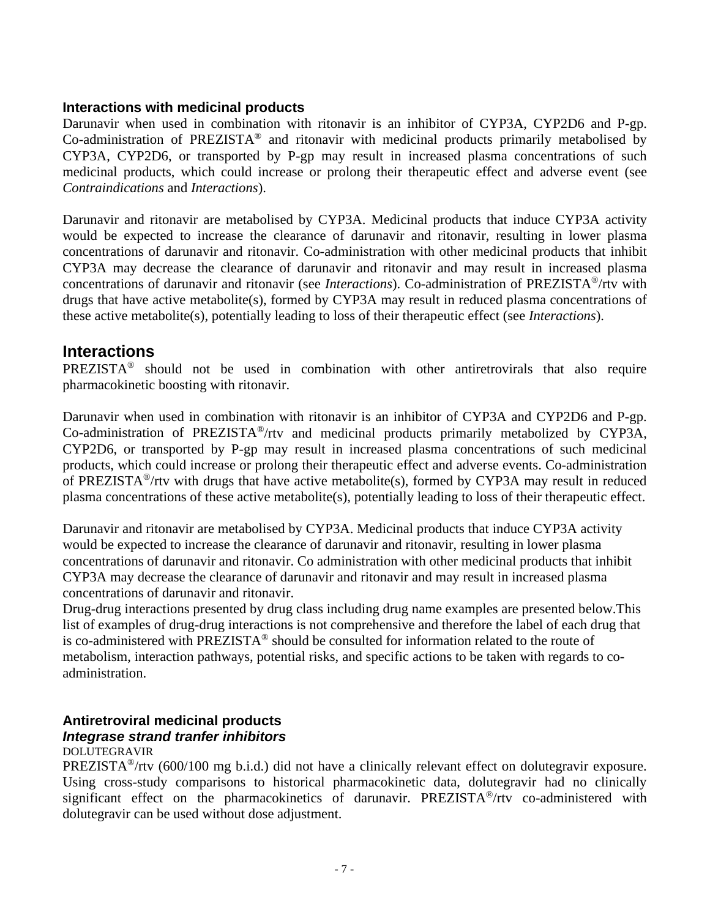### **Interactions with medicinal products**

Darunavir when used in combination with ritonavir is an inhibitor of CYP3A, CYP2D6 and P-gp. Co-administration of PREZISTA® and ritonavir with medicinal products primarily metabolised by CYP3A, CYP2D6, or transported by P-gp may result in increased plasma concentrations of such medicinal products, which could increase or prolong their therapeutic effect and adverse event (see *Contraindications* and *Interactions*).

Darunavir and ritonavir are metabolised by CYP3A. Medicinal products that induce CYP3A activity would be expected to increase the clearance of darunavir and ritonavir, resulting in lower plasma concentrations of darunavir and ritonavir. Co-administration with other medicinal products that inhibit CYP3A may decrease the clearance of darunavir and ritonavir and may result in increased plasma concentrations of darunavir and ritonavir (see *Interactions*). Co-administration of PREZISTA®/rtv with drugs that have active metabolite(s), formed by CYP3A may result in reduced plasma concentrations of these active metabolite(s), potentially leading to loss of their therapeutic effect (see *Interactions*).

### **Interactions**

PREZISTA<sup>®</sup> should not be used in combination with other antiretrovirals that also require pharmacokinetic boosting with ritonavir.

Darunavir when used in combination with ritonavir is an inhibitor of CYP3A and CYP2D6 and P-gp. Co-administration of PREZISTA®/rtv and medicinal products primarily metabolized by CYP3A, CYP2D6, or transported by P-gp may result in increased plasma concentrations of such medicinal products, which could increase or prolong their therapeutic effect and adverse events. Co-administration of PREZISTA®/rtv with drugs that have active metabolite(s), formed by CYP3A may result in reduced plasma concentrations of these active metabolite(s), potentially leading to loss of their therapeutic effect.

Darunavir and ritonavir are metabolised by CYP3A. Medicinal products that induce CYP3A activity would be expected to increase the clearance of darunavir and ritonavir, resulting in lower plasma concentrations of darunavir and ritonavir. Co administration with other medicinal products that inhibit CYP3A may decrease the clearance of darunavir and ritonavir and may result in increased plasma concentrations of darunavir and ritonavir.

Drug-drug interactions presented by drug class including drug name examples are presented below.This list of examples of drug-drug interactions is not comprehensive and therefore the label of each drug that is co-administered with PREZISTA® should be consulted for information related to the route of metabolism, interaction pathways, potential risks, and specific actions to be taken with regards to coadministration.

### **Antiretroviral medicinal products** *Integrase strand tranfer inhibitors*

#### DOLUTEGRAVIR

PREZISTA<sup>®</sup>/rtv (600/100 mg b.i.d.) did not have a clinically relevant effect on dolutegravir exposure. Using cross-study comparisons to historical pharmacokinetic data, dolutegravir had no clinically significant effect on the pharmacokinetics of darunavir. PREZISTA®/rtv co-administered with dolutegravir can be used without dose adjustment.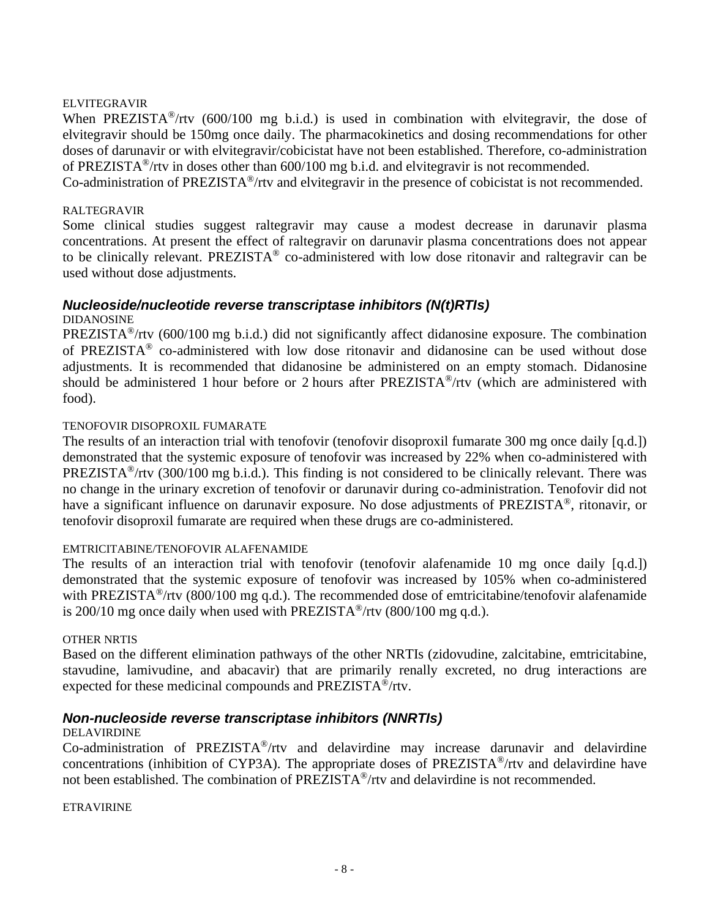#### ELVITEGRAVIR

When PREZISTA<sup>®</sup>/rtv (600/100 mg b.i.d.) is used in combination with elvitegravir, the dose of elvitegravir should be 150mg once daily. The pharmacokinetics and dosing recommendations for other doses of darunavir or with elvitegravir/cobicistat have not been established. Therefore, co-administration of PREZISTA®/rtv in doses other than 600/100 mg b.i.d. and elvitegravir is not recommended.

Co-administration of PREZISTA®/rtv and elvitegravir in the presence of cobicistat is not recommended.

#### RALTEGRAVIR

Some clinical studies suggest raltegravir may cause a modest decrease in darunavir plasma concentrations. At present the effect of raltegravir on darunavir plasma concentrations does not appear to be clinically relevant. PREZISTA® co-administered with low dose ritonavir and raltegravir can be used without dose adjustments.

### *Nucleoside/nucleotide reverse transcriptase inhibitors (N(t)RTIs)*

#### DIDANOSINE

PREZISTA®/rtv (600/100 mg b.i.d.) did not significantly affect didanosine exposure. The combination of PREZISTA® co-administered with low dose ritonavir and didanosine can be used without dose adjustments. It is recommended that didanosine be administered on an empty stomach. Didanosine should be administered 1 hour before or 2 hours after PREZISTA®/rtv (which are administered with food).

#### TENOFOVIR DISOPROXIL FUMARATE

The results of an interaction trial with tenofovir (tenofovir disoproxil fumarate 300 mg once daily [q.d.]) demonstrated that the systemic exposure of tenofovir was increased by 22% when co-administered with PREZISTA®/rtv (300/100 mg b.i.d.). This finding is not considered to be clinically relevant. There was no change in the urinary excretion of tenofovir or darunavir during co-administration. Tenofovir did not have a significant influence on darunavir exposure. No dose adjustments of PREZISTA<sup>®</sup>, ritonavir, or tenofovir disoproxil fumarate are required when these drugs are co-administered.

#### EMTRICITABINE/TENOFOVIR ALAFENAMIDE

The results of an interaction trial with tenofovir (tenofovir alafenamide 10 mg once daily [q.d.]) demonstrated that the systemic exposure of tenofovir was increased by 105% when co-administered with PREZISTA<sup>®</sup>/rtv (800/100 mg q.d.). The recommended dose of emtricitabine/tenofovir alafenamide is 200/10 mg once daily when used with PREZISTA<sup>®</sup>/rtv  $(800/100 \text{ mg } q.d.).$ 

#### OTHER NRTIS

Based on the different elimination pathways of the other NRTIs (zidovudine, zalcitabine, emtricitabine, stavudine, lamivudine, and abacavir) that are primarily renally excreted, no drug interactions are expected for these medicinal compounds and PREZISTA®/rtv.

#### *Non-nucleoside reverse transcriptase inhibitors (NNRTIs)*

#### DELAVIRDINE

Co-administration of PREZISTA®/rtv and delavirdine may increase darunavir and delavirdine concentrations (inhibition of CYP3A). The appropriate doses of PREZISTA®/rtv and delavirdine have not been established. The combination of PREZISTA®/rtv and delavirdine is not recommended.

ETRAVIRINE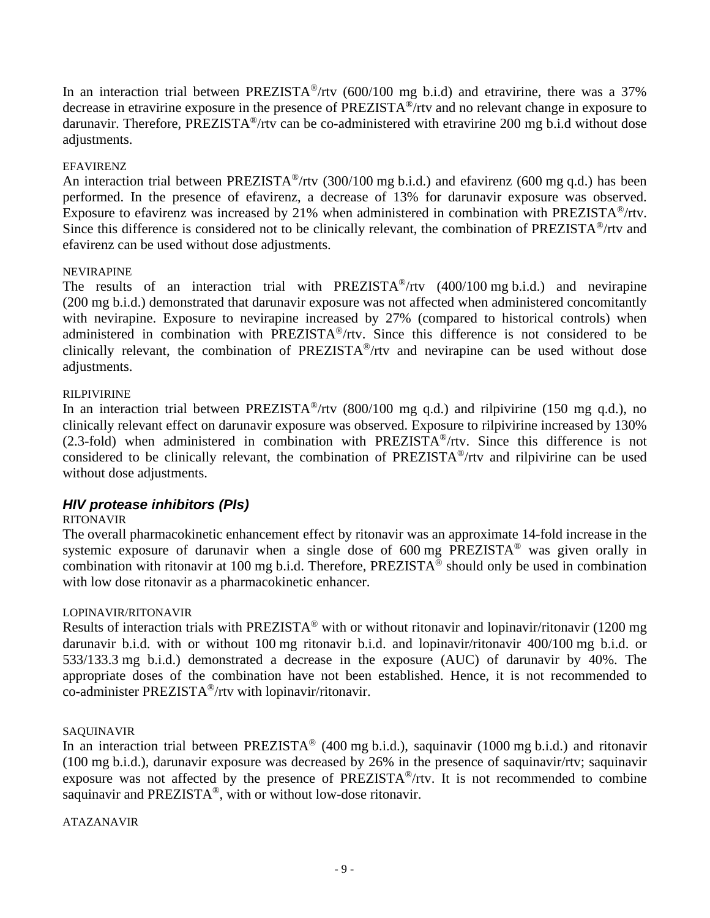In an interaction trial between PREZISTA<sup>®</sup>/rtv (600/100 mg b.i.d) and etravirine, there was a 37% decrease in etravirine exposure in the presence of PREZISTA®/rtv and no relevant change in exposure to darunavir. Therefore, PREZISTA<sup>®</sup>/rtv can be co-administered with etravirine 200 mg b.i.d without dose adjustments.

#### EFAVIRENZ

An interaction trial between PREZISTA<sup>®</sup>/rtv (300/100 mg b.i.d.) and efavirenz (600 mg q.d.) has been performed. In the presence of efavirenz, a decrease of 13% for darunavir exposure was observed. Exposure to efavirenz was increased by 21% when administered in combination with PREZISTA®/rtv. Since this difference is considered not to be clinically relevant, the combination of PREZISTA®/rtv and efavirenz can be used without dose adjustments.

#### NEVIRAPINE

The results of an interaction trial with PREZISTA<sup>®</sup>/rtv  $(400/100 \text{ mg b.i.d.})$  and nevirapine (200 mg b.i.d.) demonstrated that darunavir exposure was not affected when administered concomitantly with nevirapine. Exposure to nevirapine increased by 27% (compared to historical controls) when administered in combination with PREZISTA®/rtv. Since this difference is not considered to be clinically relevant, the combination of PREZISTA®/rtv and nevirapine can be used without dose adjustments.

#### RILPIVIRINE

In an interaction trial between PREZISTA<sup>®</sup>/rtv (800/100 mg q.d.) and rilpivirine (150 mg q.d.), no clinically relevant effect on darunavir exposure was observed. Exposure to rilpivirine increased by 130% (2.3-fold) when administered in combination with  $PREZISTA^*$ /rtv. Since this difference is not considered to be clinically relevant, the combination of PREZISTA®/rtv and rilpivirine can be used without dose adjustments.

#### *HIV protease inhibitors (PIs)*

#### RITONAVIR

The overall pharmacokinetic enhancement effect by ritonavir was an approximate 14-fold increase in the systemic exposure of darunavir when a single dose of 600 mg PREZISTA® was given orally in combination with ritonavir at 100 mg b.i.d. Therefore, PREZISTA<sup>®</sup> should only be used in combination with low dose ritonavir as a pharmacokinetic enhancer.

#### LOPINAVIR/RITONAVIR

Results of interaction trials with PREZISTA® with or without ritonavir and lopinavir/ritonavir (1200 mg darunavir b.i.d. with or without 100 mg ritonavir b.i.d. and lopinavir/ritonavir 400/100 mg b.i.d. or 533/133.3 mg b.i.d.) demonstrated a decrease in the exposure (AUC) of darunavir by 40%. The appropriate doses of the combination have not been established. Hence, it is not recommended to co-administer PREZISTA®/rtv with lopinavir/ritonavir.

#### SAQUINAVIR

In an interaction trial between PREZISTA® (400 mg b.i.d.), saquinavir (1000 mg b.i.d.) and ritonavir (100 mg b.i.d.), darunavir exposure was decreased by 26% in the presence of saquinavir/rtv; saquinavir exposure was not affected by the presence of PREZISTA®/rtv. It is not recommended to combine saquinavir and PREZISTA®, with or without low-dose ritonavir.

ATAZANAVIR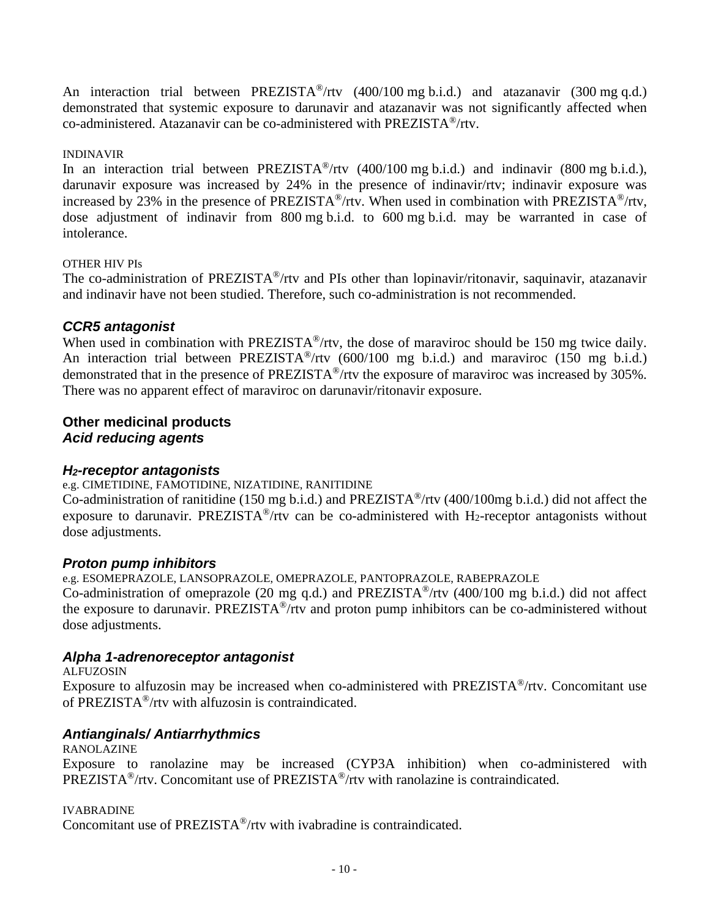An interaction trial between PREZISTA<sup>®</sup>/rtv (400/100 mg b.i.d.) and atazanavir (300 mg q.d.) demonstrated that systemic exposure to darunavir and atazanavir was not significantly affected when co-administered. Atazanavir can be co-administered with PREZISTA®/rtv.

#### INDINAVIR

In an interaction trial between  $PREZISTA^{\circledast}/r$ tv (400/100 mg b.i.d.) and indinavir (800 mg b.i.d.), darunavir exposure was increased by 24% in the presence of indinavir/rtv; indinavir exposure was increased by 23% in the presence of PREZISTA<sup>®</sup>/rtv. When used in combination with PREZISTA<sup>®</sup>/rtv, dose adjustment of indinavir from 800 mg b.i.d. to 600 mg b.i.d. may be warranted in case of intolerance.

#### OTHER HIV PIs

The co-administration of PREZISTA®/rtv and PIs other than lopinavir/ritonavir, saquinavir, atazanavir and indinavir have not been studied. Therefore, such co-administration is not recommended.

### *CCR5 antagonist*

When used in combination with PREZISTA<sup>®</sup>/rtv, the dose of maraviroc should be 150 mg twice daily. An interaction trial between PREZISTA<sup>®</sup>/rtv (600/100 mg b.i.d.) and maraviroc (150 mg b.i.d.) demonstrated that in the presence of PREZISTA®/rtv the exposure of maraviroc was increased by 305%. There was no apparent effect of maraviroc on darunavir/ritonavir exposure.

### **Other medicinal products** *Acid reducing agents*

### *H2-receptor antagonists*

e.g. CIMETIDINE, FAMOTIDINE, NIZATIDINE, RANITIDINE

Co-administration of ranitidine (150 mg b.i.d.) and PREZISTA®/rtv (400/100mg b.i.d.) did not affect the exposure to darunavir. PREZISTA<sup>®</sup>/rtv can be co-administered with H<sub>2</sub>-receptor antagonists without dose adjustments.

### *Proton pump inhibitors*

e.g. ESOMEPRAZOLE, LANSOPRAZOLE, OMEPRAZOLE, PANTOPRAZOLE, RABEPRAZOLE Co-administration of omeprazole (20 mg q.d.) and PREZISTA®/rtv (400/100 mg b.i.d.) did not affect the exposure to darunavir. PREZISTA®/rtv and proton pump inhibitors can be co-administered without dose adjustments.

### *Alpha 1-adrenoreceptor antagonist*

ALFUZOSIN

Exposure to alfuzosin may be increased when co-administered with PREZISTA®/rtv. Concomitant use of PREZISTA®/rtv with alfuzosin is contraindicated.

### *Antianginals/ Antiarrhythmics*

RANOLAZINE Exposure to ranolazine may be increased (CYP3A inhibition) when co-administered with PREZISTA®/rtv. Concomitant use of PREZISTA®/rtv with ranolazine is contraindicated.

IVABRADINE

Concomitant use of PREZISTA®/rtv with ivabradine is contraindicated.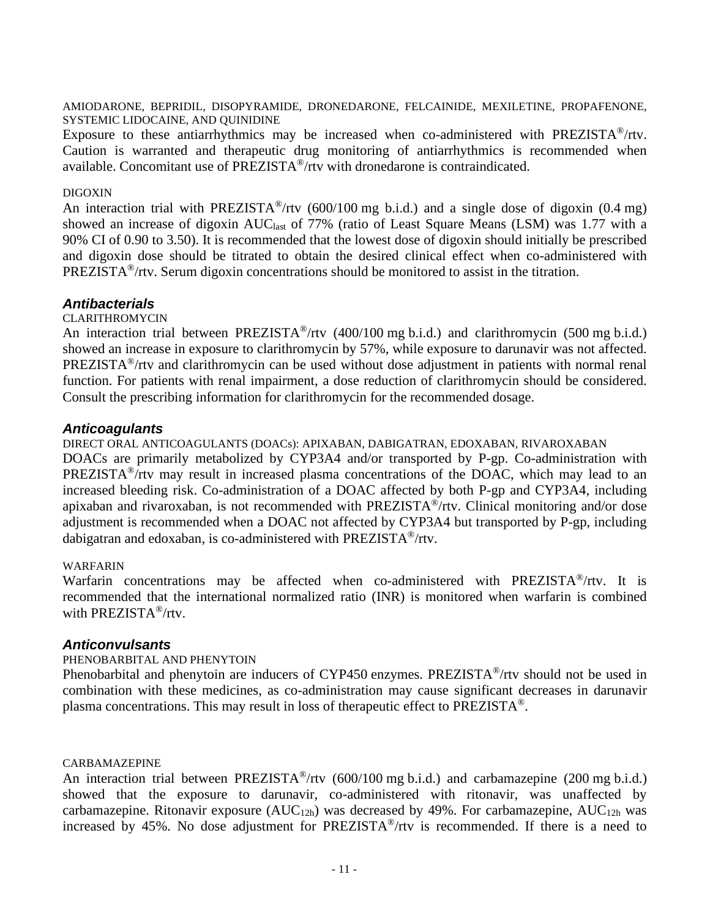AMIODARONE, BEPRIDIL, DISOPYRAMIDE, DRONEDARONE, FELCAINIDE, MEXILETINE, PROPAFENONE, SYSTEMIC LIDOCAINE, AND QUINIDINE

Exposure to these antiarrhythmics may be increased when co-administered with PREZISTA®/rtv. Caution is warranted and therapeutic drug monitoring of antiarrhythmics is recommended when available. Concomitant use of PREZISTA®/rtv with dronedarone is contraindicated.

#### DIGOXIN

An interaction trial with PREZISTA<sup>®</sup>/rtv (600/100 mg b.i.d.) and a single dose of digoxin (0.4 mg) showed an increase of digoxin AUC<sub>last</sub> of 77% (ratio of Least Square Means (LSM) was 1.77 with a 90% CI of 0.90 to 3.50). It is recommended that the lowest dose of digoxin should initially be prescribed and digoxin dose should be titrated to obtain the desired clinical effect when co-administered with PREZISTA®/rtv. Serum digoxin concentrations should be monitored to assist in the titration.

#### *Antibacterials*

#### CLARITHROMYCIN

An interaction trial between PREZISTA<sup>®</sup>/rtv (400/100 mg b.i.d.) and clarithromycin (500 mg b.i.d.) showed an increase in exposure to clarithromycin by 57%, while exposure to darunavir was not affected. PREZISTA®/rtv and clarithromycin can be used without dose adjustment in patients with normal renal function. For patients with renal impairment, a dose reduction of clarithromycin should be considered. Consult the prescribing information for clarithromycin for the recommended dosage.

#### *Anticoagulants*

DIRECT ORAL ANTICOAGULANTS (DOACs): APIXABAN, DABIGATRAN, EDOXABAN, RIVAROXABAN

DOACs are primarily metabolized by CYP3A4 and/or transported by P-gp. Co-administration with PREZISTA®/rtv may result in increased plasma concentrations of the DOAC, which may lead to an increased bleeding risk. Co-administration of a DOAC affected by both P-gp and CYP3A4, including apixaban and rivaroxaban, is not recommended with PREZISTA®/rtv. Clinical monitoring and/or dose adjustment is recommended when a DOAC not affected by CYP3A4 but transported by P-gp, including dabigatran and edoxaban, is co-administered with PREZISTA®/rtv.

#### WARFARIN

Warfarin concentrations may be affected when co-administered with PREZISTA®/rtv. It is recommended that the international normalized ratio (INR) is monitored when warfarin is combined with PREZISTA®/rtv.

#### *Anticonvulsants*

#### PHENOBARBITAL AND PHENYTOIN

Phenobarbital and phenytoin are inducers of CYP450 enzymes. PREZISTA®/rtv should not be used in combination with these medicines, as co-administration may cause significant decreases in darunavir plasma concentrations. This may result in loss of therapeutic effect to PREZISTA®.

#### CARBAMAZEPINE

An interaction trial between PREZISTA<sup>®</sup>/rtv (600/100 mg b.i.d.) and carbamazepine (200 mg b.i.d.) showed that the exposure to darunavir, co-administered with ritonavir, was unaffected by carbamazepine. Ritonavir exposure  $(AUC_{12h})$  was decreased by 49%. For carbamazepine,  $AUC_{12h}$  was increased by 45%. No dose adjustment for PREZISTA®/rtv is recommended. If there is a need to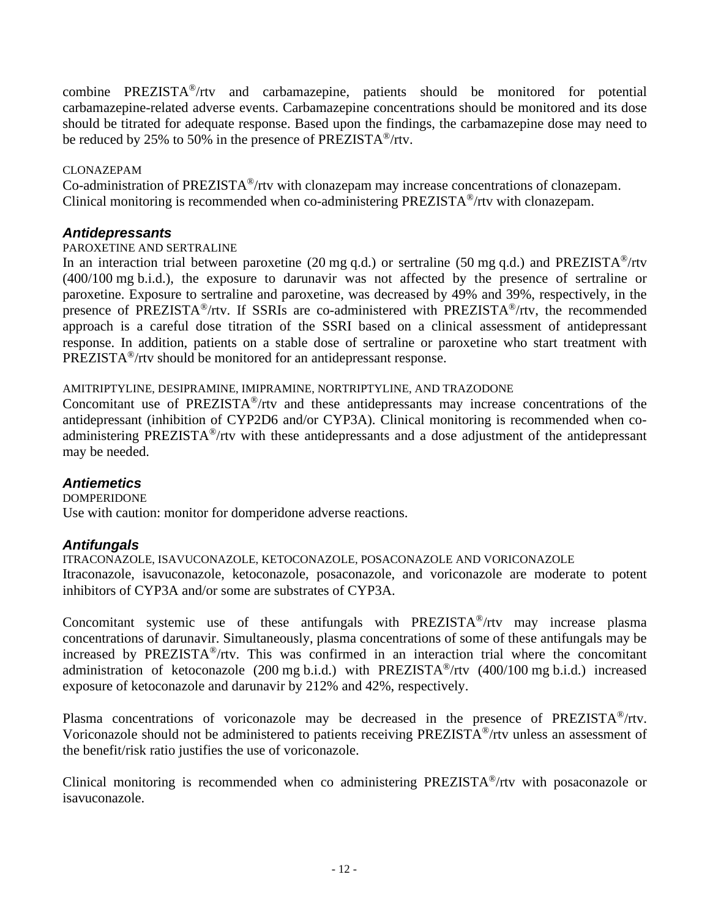combine PREZISTA®/rtv and carbamazepine, patients should be monitored for potential carbamazepine-related adverse events. Carbamazepine concentrations should be monitored and its dose should be titrated for adequate response. Based upon the findings, the carbamazepine dose may need to be reduced by 25% to 50% in the presence of PREZISTA®/rtv.

#### CLONAZEPAM

Co-administration of PREZISTA®/rtv with clonazepam may increase concentrations of clonazepam. Clinical monitoring is recommended when co-administering PREZISTA®/rtv with clonazepam.

### *Antidepressants*

#### PAROXETINE AND SERTRALINE

In an interaction trial between paroxetine (20 mg q.d.) or sertraline (50 mg q.d.) and PREZISTA<sup>®</sup>/rtv (400/100 mg b.i.d.), the exposure to darunavir was not affected by the presence of sertraline or paroxetine. Exposure to sertraline and paroxetine, was decreased by 49% and 39%, respectively, in the presence of PREZISTA®/rtv. If SSRIs are co-administered with PREZISTA®/rtv, the recommended approach is a careful dose titration of the SSRI based on a clinical assessment of antidepressant response. In addition, patients on a stable dose of sertraline or paroxetine who start treatment with PREZISTA®/rtv should be monitored for an antidepressant response.

### AMITRIPTYLINE, DESIPRAMINE, IMIPRAMINE, NORTRIPTYLINE, AND TRAZODONE

Concomitant use of PREZISTA®/rtv and these antidepressants may increase concentrations of the antidepressant (inhibition of CYP2D6 and/or CYP3A). Clinical monitoring is recommended when coadministering PREZISTA®/rtv with these antidepressants and a dose adjustment of the antidepressant may be needed.

### *Antiemetics*

DOMPERIDONE Use with caution: monitor for domperidone adverse reactions.

### *Antifungals*

ITRACONAZOLE, ISAVUCONAZOLE, KETOCONAZOLE, POSACONAZOLE AND VORICONAZOLE Itraconazole, isavuconazole, ketoconazole, posaconazole, and voriconazole are moderate to potent inhibitors of CYP3A and/or some are substrates of CYP3A.

Concomitant systemic use of these antifungals with PREZISTA®/rtv may increase plasma concentrations of darunavir. Simultaneously, plasma concentrations of some of these antifungals may be increased by PREZISTA®/rtv. This was confirmed in an interaction trial where the concomitant administration of ketoconazole (200 mg b.i.d.) with PREZISTA<sup>®</sup>/rtv (400/100 mg b.i.d.) increased exposure of ketoconazole and darunavir by 212% and 42%, respectively.

Plasma concentrations of voriconazole may be decreased in the presence of PREZISTA®/rtv. Voriconazole should not be administered to patients receiving PREZISTA®/rtv unless an assessment of the benefit/risk ratio justifies the use of voriconazole.

Clinical monitoring is recommended when co administering PREZISTA®/rtv with posaconazole or isavuconazole.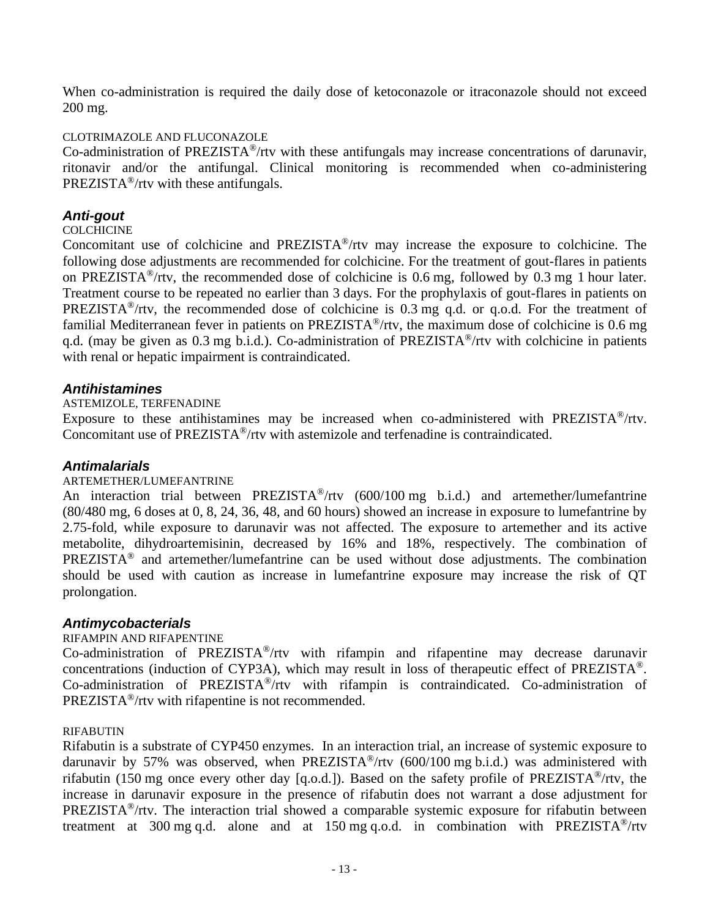When co-administration is required the daily dose of ketoconazole or itraconazole should not exceed 200 mg.

#### CLOTRIMAZOLE AND FLUCONAZOLE

Co-administration of PREZISTA®/rtv with these antifungals may increase concentrations of darunavir, ritonavir and/or the antifungal. Clinical monitoring is recommended when co-administering PREZISTA®/rtv with these antifungals.

### *Anti-gout*

#### **COLCHICINE**

Concomitant use of colchicine and PREZISTA®/rtv may increase the exposure to colchicine. The following dose adjustments are recommended for colchicine. For the treatment of gout-flares in patients on PREZISTA®/rtv, the recommended dose of colchicine is 0.6 mg, followed by 0.3 mg 1 hour later. Treatment course to be repeated no earlier than 3 days. For the prophylaxis of gout-flares in patients on PREZISTA<sup>®</sup>/rtv, the recommended dose of colchicine is 0.3 mg q.d. or q.o.d. For the treatment of familial Mediterranean fever in patients on PREZISTA®/rtv, the maximum dose of colchicine is 0.6 mg q.d. (may be given as 0.3 mg b.i.d.). Co-administration of PREZISTA<sup>®</sup>/rtv with colchicine in patients with renal or hepatic impairment is contraindicated.

### *Antihistamines*

ASTEMIZOLE, TERFENADINE

Exposure to these antihistamines may be increased when co-administered with PREZISTA®/rtv. Concomitant use of PREZISTA®/rtv with astemizole and terfenadine is contraindicated.

### *Antimalarials*

#### ARTEMETHER/LUMEFANTRINE

An interaction trial between PREZISTA<sup>®</sup>/rtv (600/100 mg b.i.d.) and artemether/lumefantrine (80/480 mg, 6 doses at 0, 8, 24, 36, 48, and 60 hours) showed an increase in exposure to lumefantrine by 2.75-fold, while exposure to darunavir was not affected. The exposure to artemether and its active metabolite, dihydroartemisinin, decreased by 16% and 18%, respectively. The combination of PREZISTA® and artemether/lumefantrine can be used without dose adjustments. The combination should be used with caution as increase in lumefantrine exposure may increase the risk of QT prolongation.

#### *Antimycobacterials*

#### RIFAMPIN AND RIFAPENTINE

Co-administration of PREZISTA®/rtv with rifampin and rifapentine may decrease darunavir concentrations (induction of CYP3A), which may result in loss of therapeutic effect of PREZISTA®. Co-administration of PREZISTA®/rtv with rifampin is contraindicated. Co-administration of PREZISTA®/rtv with rifapentine is not recommended.

#### RIFABUTIN

Rifabutin is a substrate of CYP450 enzymes. In an interaction trial, an increase of systemic exposure to darunavir by 57% was observed, when PREZISTA<sup>®</sup>/rtv  $(600/100 \text{ mg b.i.d.})$  was administered with rifabutin (150 mg once every other day [q.o.d.]). Based on the safety profile of PREZISTA®/rtv, the increase in darunavir exposure in the presence of rifabutin does not warrant a dose adjustment for PREZISTA®/rtv. The interaction trial showed a comparable systemic exposure for rifabutin between treatment at 300 mg q.d. alone and at 150 mg q.o.d. in combination with PREZISTA<sup>®</sup>/rtv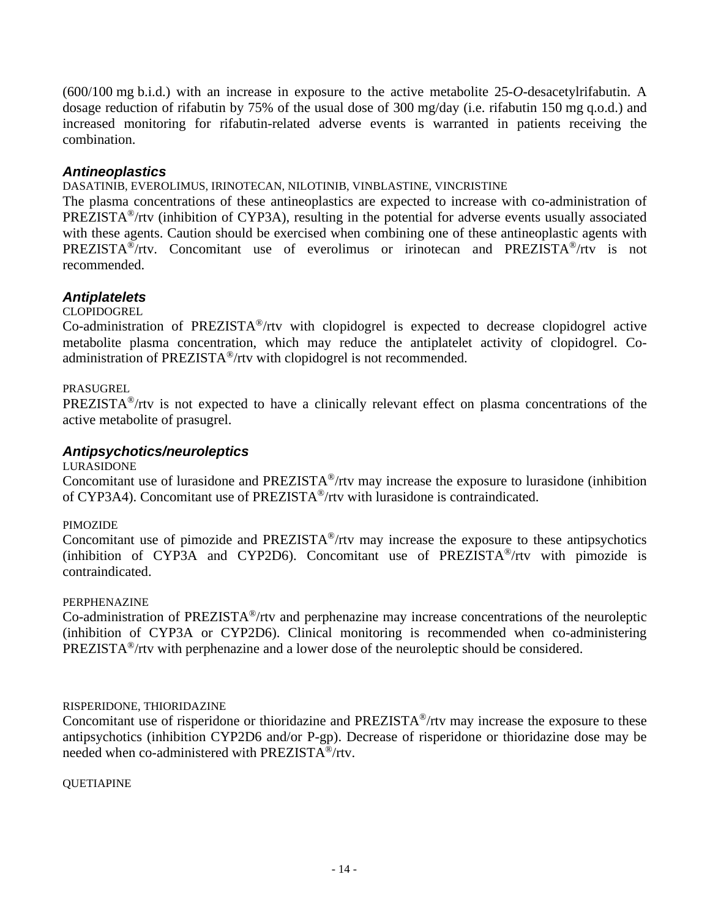(600/100 mg b.i.d.) with an increase in exposure to the active metabolite 25-*O-*desacetylrifabutin. A dosage reduction of rifabutin by 75% of the usual dose of 300 mg/day (i.e. rifabutin 150 mg q.o.d.) and increased monitoring for rifabutin-related adverse events is warranted in patients receiving the combination.

### *Antineoplastics*

#### DASATINIB, EVEROLIMUS, IRINOTECAN, NILOTINIB, VINBLASTINE, VINCRISTINE

The plasma concentrations of these antineoplastics are expected to increase with co-administration of PREZISTA®/rtv (inhibition of CYP3A), resulting in the potential for adverse events usually associated with these agents. Caution should be exercised when combining one of these antineoplastic agents with PREZISTA®/rtv. Concomitant use of everolimus or irinotecan and PREZISTA®/rtv is not recommended.

### *Antiplatelets*

#### CLOPIDOGREL

Co-administration of PREZISTA®/rtv with clopidogrel is expected to decrease clopidogrel active metabolite plasma concentration, which may reduce the antiplatelet activity of clopidogrel. Coadministration of PREZISTA®/rtv with clopidogrel is not recommended.

#### PRASUGREL

PREZISTA®/rtv is not expected to have a clinically relevant effect on plasma concentrations of the active metabolite of prasugrel.

#### *Antipsychotics/neuroleptics*

#### LURASIDONE

Concomitant use of lurasidone and PREZISTA®/rtv may increase the exposure to lurasidone (inhibition of CYP3A4). Concomitant use of PREZISTA®/rtv with lurasidone is contraindicated.

#### PIMOZIDE

Concomitant use of pimozide and PREZISTA®/rtv may increase the exposure to these antipsychotics (inhibition of CYP3A and CYP2D6). Concomitant use of PREZISTA®/rtv with pimozide is contraindicated.

#### PERPHENAZINE

Co-administration of PREZISTA®/rtv and perphenazine may increase concentrations of the neuroleptic (inhibition of CYP3A or CYP2D6). Clinical monitoring is recommended when co-administering PREZISTA®/rtv with perphenazine and a lower dose of the neuroleptic should be considered.

#### RISPERIDONE, THIORIDAZINE

Concomitant use of risperidone or thioridazine and PREZISTA®/rtv may increase the exposure to these antipsychotics (inhibition CYP2D6 and/or P-gp). Decrease of risperidone or thioridazine dose may be needed when co-administered with PREZISTA®/rtv.

#### QUETIAPINE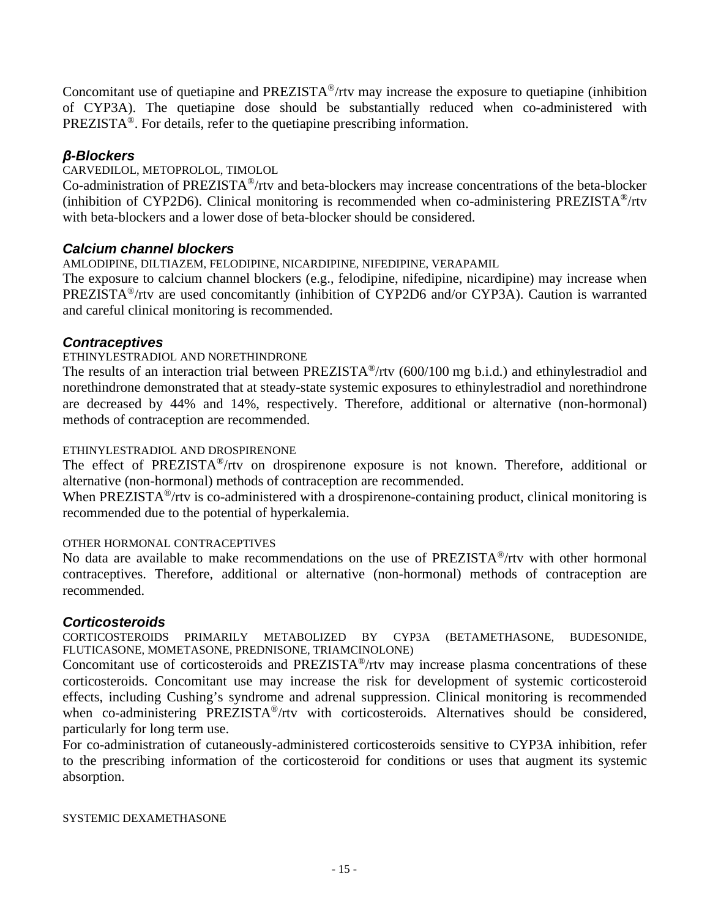Concomitant use of quetiapine and PREZISTA®/rtv may increase the exposure to quetiapine (inhibition of CYP3A). The quetiapine dose should be substantially reduced when co-administered with PREZISTA®. For details, refer to the quetiapine prescribing information.

### *β-Blockers*

CARVEDILOL, METOPROLOL, TIMOLOL

Co-administration of PREZISTA®/rtv and beta-blockers may increase concentrations of the beta-blocker (inhibition of CYP2D6). Clinical monitoring is recommended when co-administering PREZISTA®/rtv with beta-blockers and a lower dose of beta-blocker should be considered.

### *Calcium channel blockers*

AMLODIPINE, DILTIAZEM, FELODIPINE, NICARDIPINE, NIFEDIPINE, VERAPAMIL

The exposure to calcium channel blockers (e.g., felodipine, nifedipine, nicardipine) may increase when PREZISTA®/rtv are used concomitantly (inhibition of CYP2D6 and/or CYP3A). Caution is warranted and careful clinical monitoring is recommended.

### *Contraceptives*

#### ETHINYLESTRADIOL AND NORETHINDRONE

The results of an interaction trial between PREZISTA<sup>®</sup>/rtv (600/100 mg b.i.d.) and ethinylestradiol and norethindrone demonstrated that at steady-state systemic exposures to ethinylestradiol and norethindrone are decreased by 44% and 14%, respectively. Therefore, additional or alternative (non-hormonal) methods of contraception are recommended.

#### ETHINYLESTRADIOL AND DROSPIRENONE

The effect of PREZISTA®/rtv on drospirenone exposure is not known. Therefore, additional or alternative (non-hormonal) methods of contraception are recommended.

When PREZISTA<sup>®</sup>/rtv is co-administered with a drospirenone-containing product, clinical monitoring is recommended due to the potential of hyperkalemia.

#### OTHER HORMONAL CONTRACEPTIVES

No data are available to make recommendations on the use of PREZISTA®/rtv with other hormonal contraceptives. Therefore, additional or alternative (non-hormonal) methods of contraception are recommended.

#### *Corticosteroids*

CORTICOSTEROIDS PRIMARILY METABOLIZED BY CYP3A (BETAMETHASONE, BUDESONIDE, FLUTICASONE, MOMETASONE, PREDNISONE, TRIAMCINOLONE)

Concomitant use of corticosteroids and PREZISTA®/rtv may increase plasma concentrations of these corticosteroids. Concomitant use may increase the risk for development of systemic corticosteroid effects, including Cushing's syndrome and adrenal suppression. Clinical monitoring is recommended when co-administering PREZISTA<sup>®</sup>/rtv with corticosteroids. Alternatives should be considered, particularly for long term use.

For co-administration of cutaneously-administered corticosteroids sensitive to CYP3A inhibition, refer to the prescribing information of the corticosteroid for conditions or uses that augment its systemic absorption.

SYSTEMIC DEXAMETHASONE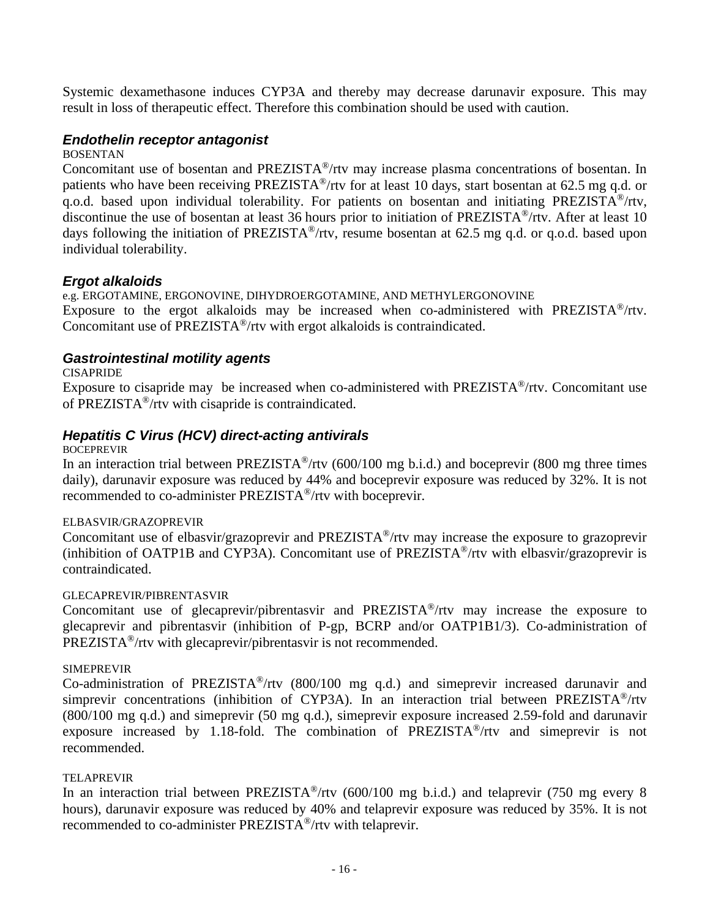Systemic dexamethasone induces CYP3A and thereby may decrease darunavir exposure. This may result in loss of therapeutic effect. Therefore this combination should be used with caution.

### *Endothelin receptor antagonist*

BOSENTAN

Concomitant use of bosentan and PREZISTA®/rtv may increase plasma concentrations of bosentan. In patients who have been receiving PREZISTA®/rtv for at least 10 days, start bosentan at 62.5 mg q.d. or q.o.d. based upon individual tolerability. For patients on bosentan and initiating PREZISTA®/rtv, discontinue the use of bosentan at least 36 hours prior to initiation of PREZISTA®/rtv. After at least 10 days following the initiation of PREZISTA<sup>®</sup>/rtv, resume bosentan at 62.5 mg q.d. or q.o.d. based upon individual tolerability.

### *Ergot alkaloids*

e.g. ERGOTAMINE, ERGONOVINE, DIHYDROERGOTAMINE, AND METHYLERGONOVINE Exposure to the ergot alkaloids may be increased when co-administered with PREZISTA®/rtv. Concomitant use of PREZISTA®/rtv with ergot alkaloids is contraindicated.

### *Gastrointestinal motility agents*

**CISAPRIDE** 

Exposure to cisapride may be increased when co-administered with PREZISTA®/rtv. Concomitant use of PREZISTA®/rtv with cisapride is contraindicated.

### *Hepatitis C Virus (HCV) direct-acting antivirals*

BOCEPREVIR

In an interaction trial between PREZISTA<sup>®</sup>/rtv (600/100 mg b.i.d.) and boceprevir (800 mg three times daily), darunavir exposure was reduced by 44% and boceprevir exposure was reduced by 32%. It is not recommended to co-administer PREZISTA®/rtv with boceprevir.

#### ELBASVIR/GRAZOPREVIR

Concomitant use of elbasvir/grazoprevir and PREZISTA®/rtv may increase the exposure to grazoprevir (inhibition of OATP1B and CYP3A). Concomitant use of  $PREZISTA^{\circledast}/r$ tv with elbasvir/grazoprevir is contraindicated.

#### GLECAPREVIR/PIBRENTASVIR

Concomitant use of glecaprevir/pibrentasvir and PREZISTA®/rtv may increase the exposure to glecaprevir and pibrentasvir (inhibition of P-gp, BCRP and/or OATP1B1/3). Co-administration of PREZISTA®/rtv with glecaprevir/pibrentasvir is not recommended.

#### SIMEPREVIR

Co-administration of PREZISTA®/rtv (800/100 mg q.d.) and simeprevir increased darunavir and simprevir concentrations (inhibition of CYP3A). In an interaction trial between PREZISTA<sup>®</sup>/rtv (800/100 mg q.d.) and simeprevir (50 mg q.d.), simeprevir exposure increased 2.59-fold and darunavir exposure increased by 1.18-fold. The combination of PREZISTA®/rtv and simeprevir is not recommended.

#### TELAPREVIR

In an interaction trial between PREZISTA<sup>®</sup>/rtv (600/100 mg b.i.d.) and telaprevir (750 mg every 8 hours), darunavir exposure was reduced by 40% and telaprevir exposure was reduced by 35%. It is not recommended to co-administer PREZISTA®/rtv with telaprevir.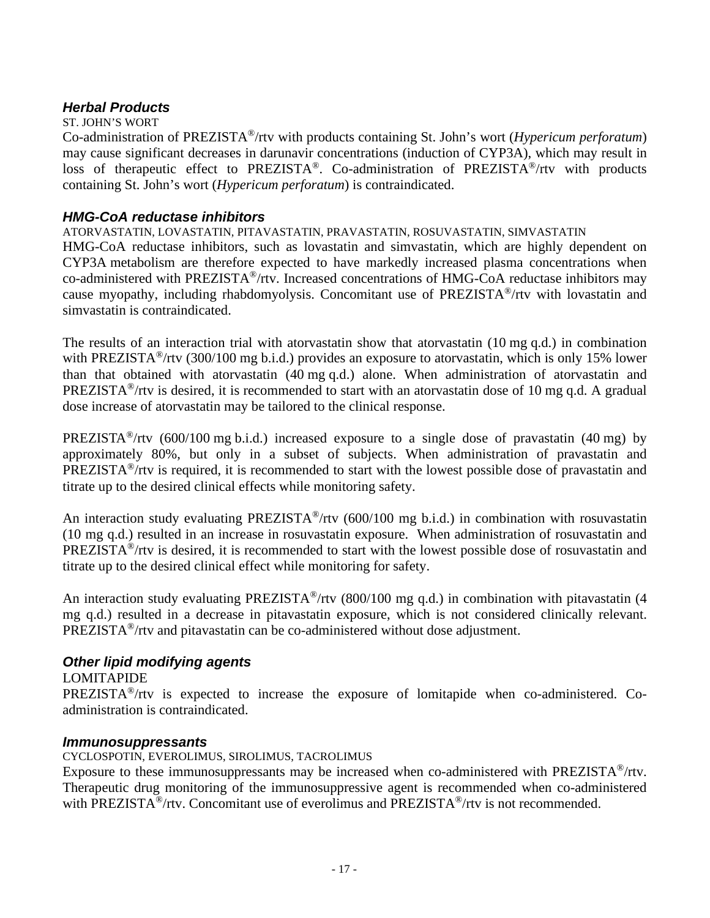### *Herbal Products*

#### ST. JOHN'S WORT

Co-administration of PREZISTA®/rtv with products containing St. John's wort (*Hypericum perforatum*) may cause significant decreases in darunavir concentrations (induction of CYP3A), which may result in loss of therapeutic effect to PREZISTA®. Co-administration of PREZISTA®/rtv with products containing St. John's wort (*Hypericum perforatum*) is contraindicated.

### *HMG-CoA reductase inhibitors*

### ATORVASTATIN, LOVASTATIN, PITAVASTATIN, PRAVASTATIN, ROSUVASTATIN, SIMVASTATIN

HMG-CoA reductase inhibitors, such as lovastatin and simvastatin, which are highly dependent on CYP3A metabolism are therefore expected to have markedly increased plasma concentrations when co-administered with PREZISTA®/rtv. Increased concentrations of HMG-CoA reductase inhibitors may cause myopathy, including rhabdomyolysis. Concomitant use of PREZISTA®/rtv with lovastatin and simvastatin is contraindicated.

The results of an interaction trial with atorvastatin show that atorvastatin (10 mg q.d.) in combination with PREZISTA<sup>®</sup>/rtv (300/100 mg b.i.d.) provides an exposure to atorvastatin, which is only 15% lower than that obtained with atorvastatin (40 mg q.d.) alone. When administration of atorvastatin and PREZISTA®/rtv is desired, it is recommended to start with an atorvastatin dose of 10 mg q.d. A gradual dose increase of atorvastatin may be tailored to the clinical response.

PREZISTA<sup>®</sup>/rtv (600/100 mg b.i.d.) increased exposure to a single dose of pravastatin (40 mg) by approximately 80%, but only in a subset of subjects. When administration of pravastatin and PREZISTA®/rtv is required, it is recommended to start with the lowest possible dose of pravastatin and titrate up to the desired clinical effects while monitoring safety.

An interaction study evaluating PREZISTA<sup>®</sup>/rtv (600/100 mg b.i.d.) in combination with rosuvastatin (10 mg q.d.) resulted in an increase in rosuvastatin exposure. When administration of rosuvastatin and PREZISTA®/rtv is desired, it is recommended to start with the lowest possible dose of rosuvastatin and titrate up to the desired clinical effect while monitoring for safety.

An interaction study evaluating PREZISTA<sup>®</sup>/rtv (800/100 mg q.d.) in combination with pitavastatin (4 mg q.d.) resulted in a decrease in pitavastatin exposure, which is not considered clinically relevant. PREZISTA®/rtv and pitavastatin can be co-administered without dose adjustment.

### *Other lipid modifying agents*

### LOMITAPIDE

PREZISTA®/rtv is expected to increase the exposure of lomitapide when co-administered. Coadministration is contraindicated.

### *Immunosuppressants*

CYCLOSPOTIN, EVEROLIMUS, SIROLIMUS, TACROLIMUS

Exposure to these immunosuppressants may be increased when co-administered with PREZISTA<sup>®</sup>/rtv. Therapeutic drug monitoring of the immunosuppressive agent is recommended when co-administered with PREZISTA<sup>®</sup>/rtv. Concomitant use of everolimus and PREZISTA<sup>®</sup>/rtv is not recommended.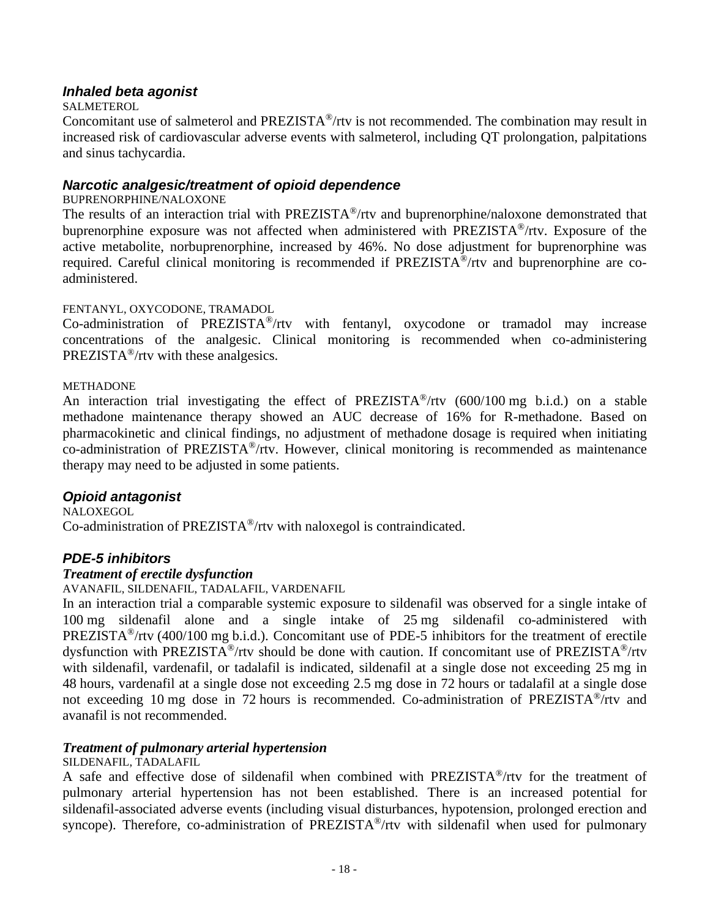### *Inhaled beta agonist*

#### **SALMETEROL**

Concomitant use of salmeterol and PREZISTA®/rtv is not recommended. The combination may result in increased risk of cardiovascular adverse events with salmeterol, including QT prolongation, palpitations and sinus tachycardia.

### *Narcotic analgesic/treatment of opioid dependence*

#### BUPRENORPHINE/NALOXONE

The results of an interaction trial with PREZISTA®/rtv and buprenorphine/naloxone demonstrated that buprenorphine exposure was not affected when administered with PREZISTA®/rtv. Exposure of the active metabolite, norbuprenorphine, increased by 46%. No dose adjustment for buprenorphine was required. Careful clinical monitoring is recommended if PREZISTA®/rtv and buprenorphine are coadministered.

#### FENTANYL, OXYCODONE, TRAMADOL

Co-administration of PREZISTA®/rtv with fentanyl, oxycodone or tramadol may increase concentrations of the analgesic. Clinical monitoring is recommended when co-administering PREZISTA®/rtv with these analgesics.

#### METHADONE

An interaction trial investigating the effect of PREZISTA®/rtv (600/100 mg b.i.d.) on a stable methadone maintenance therapy showed an AUC decrease of 16% for R-methadone. Based on pharmacokinetic and clinical findings, no adjustment of methadone dosage is required when initiating co-administration of PREZISTA®/rtv. However, clinical monitoring is recommended as maintenance therapy may need to be adjusted in some patients.

#### *Opioid antagonist*

**NALOXEGOL** 

Co-administration of PREZISTA®/rtv with naloxegol is contraindicated.

### *PDE-5 inhibitors*

#### *Treatment of erectile dysfunction*

AVANAFIL, SILDENAFIL, TADALAFIL, VARDENAFIL

In an interaction trial a comparable systemic exposure to sildenafil was observed for a single intake of 100 mg sildenafil alone and a single intake of 25 mg sildenafil co-administered with PREZISTA<sup>®</sup>/rtv (400/100 mg b.i.d.). Concomitant use of PDE-5 inhibitors for the treatment of erectile dysfunction with PREZISTA®/rtv should be done with caution. If concomitant use of PREZISTA®/rtv with sildenafil, vardenafil, or tadalafil is indicated, sildenafil at a single dose not exceeding 25 mg in 48 hours, vardenafil at a single dose not exceeding 2.5 mg dose in 72 hours or tadalafil at a single dose not exceeding 10 mg dose in 72 hours is recommended. Co-administration of PREZISTA®/rtv and avanafil is not recommended.

#### *Treatment of pulmonary arterial hypertension*

#### SILDENAFIL, TADALAFIL

A safe and effective dose of sildenafil when combined with PREZISTA®/rtv for the treatment of pulmonary arterial hypertension has not been established. There is an increased potential for sildenafil-associated adverse events (including visual disturbances, hypotension, prolonged erection and syncope). Therefore, co-administration of PREZISTA<sup>®</sup>/rtv with sildenafil when used for pulmonary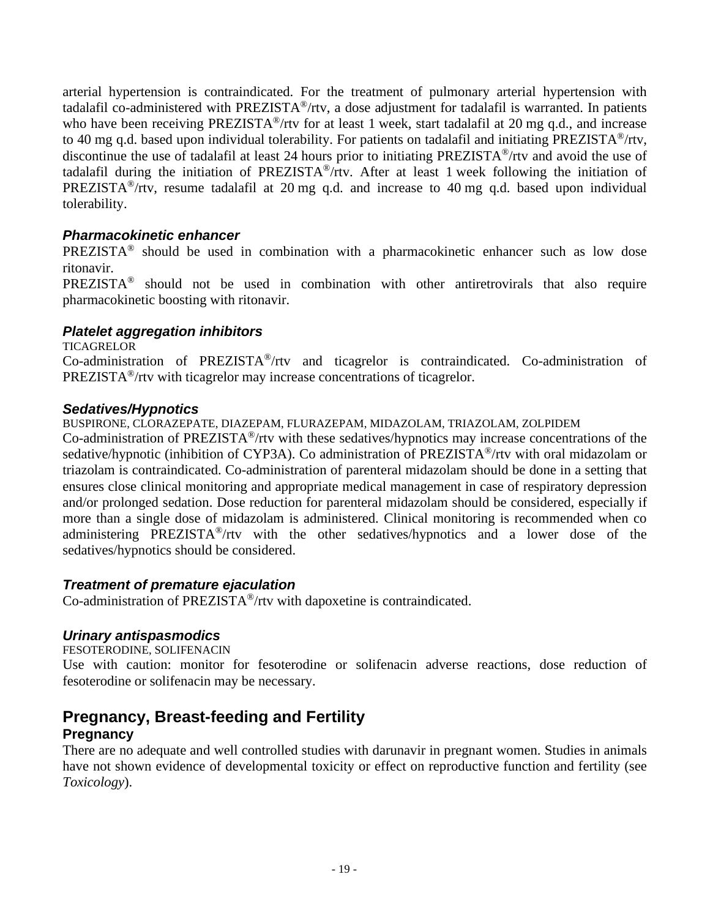arterial hypertension is contraindicated. For the treatment of pulmonary arterial hypertension with tadalafil co-administered with PREZISTA®/rtv, a dose adjustment for tadalafil is warranted. In patients who have been receiving PREZISTA<sup>®</sup>/rtv for at least 1 week, start tadalafil at 20 mg q.d., and increase to 40 mg q.d. based upon individual tolerability. For patients on tadalafil and initiating PREZISTA®/rtv, discontinue the use of tadalafil at least 24 hours prior to initiating PREZISTA®/rtv and avoid the use of tadalafil during the initiation of PREZISTA®/rtv. After at least 1 week following the initiation of PREZISTA<sup>®</sup>/rtv, resume tadalafil at 20 mg q.d. and increase to 40 mg q.d. based upon individual tolerability.

### *Pharmacokinetic enhancer*

PREZISTA® should be used in combination with a pharmacokinetic enhancer such as low dose ritonavir.

PREZISTA® should not be used in combination with other antiretrovirals that also require pharmacokinetic boosting with ritonavir.

### *Platelet aggregation inhibitors*

#### **TICAGRELOR**

Co-administration of PREZISTA®/rtv and ticagrelor is contraindicated. Co-administration of PREZISTA®/rtv with ticagrelor may increase concentrations of ticagrelor.

### *Sedatives/Hypnotics*

BUSPIRONE, CLORAZEPATE, DIAZEPAM, FLURAZEPAM, MIDAZOLAM, TRIAZOLAM, ZOLPIDEM

Co-administration of PREZISTA®/rtv with these sedatives/hypnotics may increase concentrations of the sedative/hypnotic (inhibition of CYP3A). Co administration of PREZISTA<sup>®</sup>/rtv with oral midazolam or triazolam is contraindicated. Co-administration of parenteral midazolam should be done in a setting that ensures close clinical monitoring and appropriate medical management in case of respiratory depression and/or prolonged sedation. Dose reduction for parenteral midazolam should be considered, especially if more than a single dose of midazolam is administered. Clinical monitoring is recommended when co administering PREZISTA®/rtv with the other sedatives/hypnotics and a lower dose of the sedatives/hypnotics should be considered.

### *Treatment of premature ejaculation*

Co-administration of PREZISTA®/rtv with dapoxetine is contraindicated.

### *Urinary antispasmodics*

FESOTERODINE, SOLIFENACIN

Use with caution: monitor for fesoterodine or solifenacin adverse reactions, dose reduction of fesoterodine or solifenacin may be necessary.

### **Pregnancy, Breast-feeding and Fertility Pregnancy**

There are no adequate and well controlled studies with darunavir in pregnant women. Studies in animals have not shown evidence of developmental toxicity or effect on reproductive function and fertility (see *Toxicology*).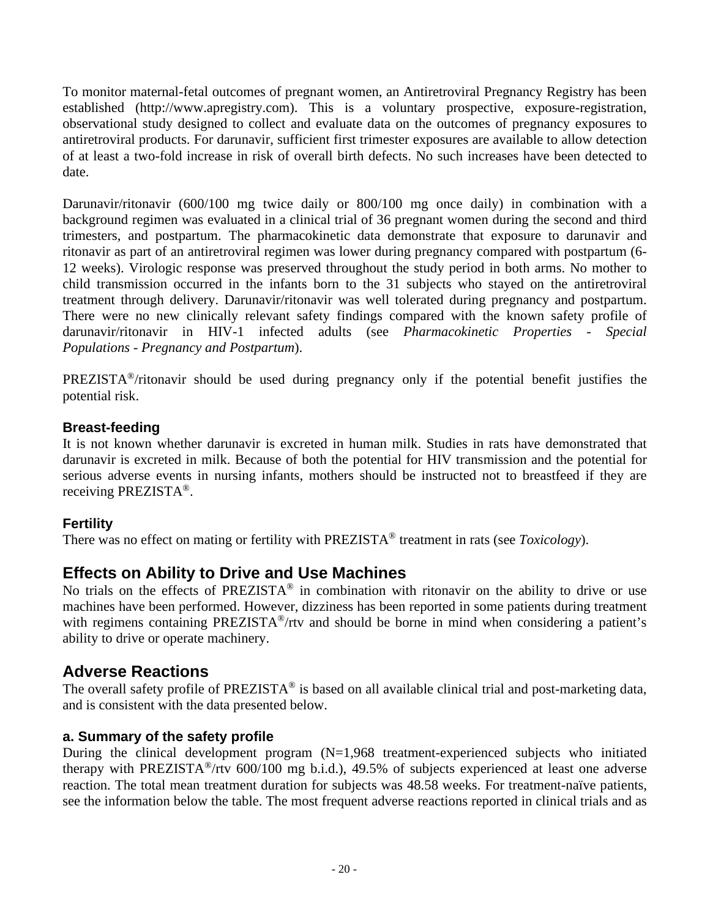To monitor maternal-fetal outcomes of pregnant women, an Antiretroviral Pregnancy Registry has been established (http://www.apregistry.com). This is a voluntary prospective, exposure-registration, observational study designed to collect and evaluate data on the outcomes of pregnancy exposures to antiretroviral products. For darunavir, sufficient first trimester exposures are available to allow detection of at least a two-fold increase in risk of overall birth defects. No such increases have been detected to date.

Darunavir/ritonavir (600/100 mg twice daily or 800/100 mg once daily) in combination with a background regimen was evaluated in a clinical trial of 36 pregnant women during the second and third trimesters, and postpartum. The pharmacokinetic data demonstrate that exposure to darunavir and ritonavir as part of an antiretroviral regimen was lower during pregnancy compared with postpartum (6- 12 weeks). Virologic response was preserved throughout the study period in both arms. No mother to child transmission occurred in the infants born to the 31 subjects who stayed on the antiretroviral treatment through delivery. Darunavir/ritonavir was well tolerated during pregnancy and postpartum. There were no new clinically relevant safety findings compared with the known safety profile of darunavir/ritonavir in HIV-1 infected adults (see *Pharmacokinetic Properties - Special Populations - Pregnancy and Postpartum*).

PREZISTA®/ritonavir should be used during pregnancy only if the potential benefit justifies the potential risk.

### **Breast-feeding**

It is not known whether darunavir is excreted in human milk. Studies in rats have demonstrated that darunavir is excreted in milk. Because of both the potential for HIV transmission and the potential for serious adverse events in nursing infants, mothers should be instructed not to breastfeed if they are receiving PREZISTA®.

### **Fertility**

There was no effect on mating or fertility with PREZISTA® treatment in rats (see *Toxicology*).

## **Effects on Ability to Drive and Use Machines**

No trials on the effects of PREZISTA<sup>®</sup> in combination with ritonavir on the ability to drive or use machines have been performed. However, dizziness has been reported in some patients during treatment with regimens containing PREZISTA<sup>®</sup>/rtv and should be borne in mind when considering a patient's ability to drive or operate machinery.

## **Adverse Reactions**

The overall safety profile of PREZISTA<sup>®</sup> is based on all available clinical trial and post-marketing data, and is consistent with the data presented below.

### **a. Summary of the safety profile**

During the clinical development program  $(N=1,968$  treatment-experienced subjects who initiated therapy with PREZISTA®/rtv 600/100 mg b.i.d.), 49.5% of subjects experienced at least one adverse reaction. The total mean treatment duration for subjects was 48.58 weeks. For treatment-naïve patients, see the information below the table. The most frequent adverse reactions reported in clinical trials and as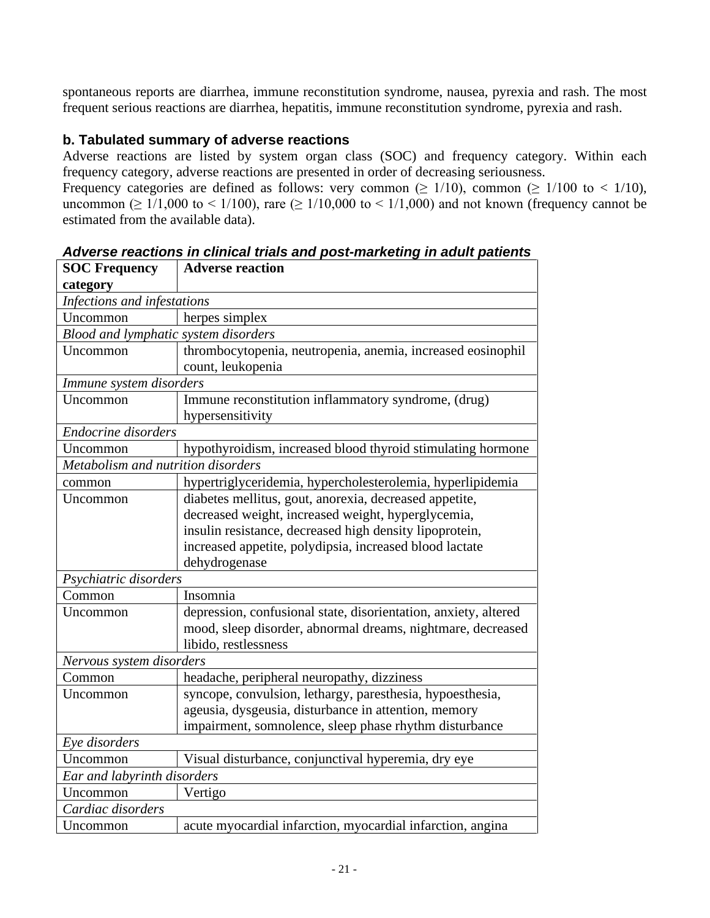spontaneous reports are diarrhea, immune reconstitution syndrome, nausea, pyrexia and rash. The most frequent serious reactions are diarrhea, hepatitis, immune reconstitution syndrome, pyrexia and rash.

### **b. Tabulated summary of adverse reactions**

Adverse reactions are listed by system organ class (SOC) and frequency category. Within each frequency category, adverse reactions are presented in order of decreasing seriousness. Frequency categories are defined as follows: very common ( $\geq 1/10$ ), common ( $\geq 1/100$  to  $\lt 1/10$ ),

uncommon ( $\geq 1/1,000$  to  $\leq 1/100$ ), rare ( $\geq 1/10,000$  to  $\leq 1/1,000$ ) and not known (frequency cannot be estimated from the available data).

| <b>SOC Frequency</b>                 | <b>Adverse reaction</b>                                         |
|--------------------------------------|-----------------------------------------------------------------|
| category                             |                                                                 |
| Infections and infestations          |                                                                 |
| Uncommon                             | herpes simplex                                                  |
| Blood and lymphatic system disorders |                                                                 |
| Uncommon                             | thrombocytopenia, neutropenia, anemia, increased eosinophil     |
|                                      | count, leukopenia                                               |
| Immune system disorders              |                                                                 |
| Uncommon                             | Immune reconstitution inflammatory syndrome, (drug)             |
|                                      | hypersensitivity                                                |
| Endocrine disorders                  |                                                                 |
| Uncommon                             | hypothyroidism, increased blood thyroid stimulating hormone     |
| Metabolism and nutrition disorders   |                                                                 |
| common                               | hypertriglyceridemia, hypercholesterolemia, hyperlipidemia      |
| Uncommon                             | diabetes mellitus, gout, anorexia, decreased appetite,          |
|                                      | decreased weight, increased weight, hyperglycemia,              |
|                                      | insulin resistance, decreased high density lipoprotein,         |
|                                      | increased appetite, polydipsia, increased blood lactate         |
|                                      | dehydrogenase                                                   |
| Psychiatric disorders                |                                                                 |
| Common                               | Insomnia                                                        |
| Uncommon                             | depression, confusional state, disorientation, anxiety, altered |
|                                      | mood, sleep disorder, abnormal dreams, nightmare, decreased     |
|                                      | libido, restlessness                                            |
| Nervous system disorders             |                                                                 |
| Common                               | headache, peripheral neuropathy, dizziness                      |
| Uncommon                             | syncope, convulsion, lethargy, paresthesia, hypoesthesia,       |
|                                      | ageusia, dysgeusia, disturbance in attention, memory            |
|                                      | impairment, somnolence, sleep phase rhythm disturbance          |
| Eye disorders                        |                                                                 |
| Uncommon                             | Visual disturbance, conjunctival hyperemia, dry eye             |
| Ear and labyrinth disorders          |                                                                 |
| Uncommon                             | Vertigo                                                         |
| Cardiac disorders                    |                                                                 |
| Uncommon                             | acute myocardial infarction, myocardial infarction, angina      |

*Adverse reactions in clinical trials and post-marketing in adult patients*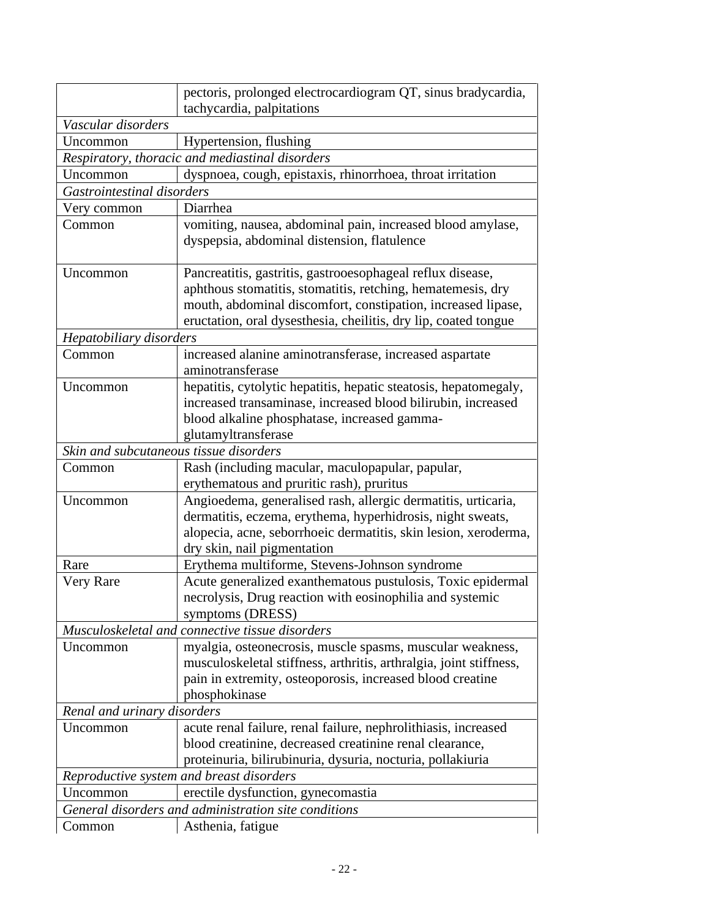|                             | pectoris, prolonged electrocardiogram QT, sinus bradycardia,<br>tachycardia, palpitations                                                                                                                                                                    |  |  |  |  |
|-----------------------------|--------------------------------------------------------------------------------------------------------------------------------------------------------------------------------------------------------------------------------------------------------------|--|--|--|--|
| Vascular disorders          |                                                                                                                                                                                                                                                              |  |  |  |  |
| Uncommon                    | Hypertension, flushing                                                                                                                                                                                                                                       |  |  |  |  |
|                             | Respiratory, thoracic and mediastinal disorders                                                                                                                                                                                                              |  |  |  |  |
| Uncommon                    | dyspnoea, cough, epistaxis, rhinorrhoea, throat irritation                                                                                                                                                                                                   |  |  |  |  |
| Gastrointestinal disorders  |                                                                                                                                                                                                                                                              |  |  |  |  |
| Very common                 | Diarrhea                                                                                                                                                                                                                                                     |  |  |  |  |
| Common                      | vomiting, nausea, abdominal pain, increased blood amylase,<br>dyspepsia, abdominal distension, flatulence                                                                                                                                                    |  |  |  |  |
| Uncommon                    | Pancreatitis, gastritis, gastrooesophageal reflux disease,<br>aphthous stomatitis, stomatitis, retching, hematemesis, dry<br>mouth, abdominal discomfort, constipation, increased lipase,<br>eructation, oral dysesthesia, cheilitis, dry lip, coated tongue |  |  |  |  |
| Hepatobiliary disorders     |                                                                                                                                                                                                                                                              |  |  |  |  |
| Common                      | increased alanine aminotransferase, increased aspartate<br>aminotransferase                                                                                                                                                                                  |  |  |  |  |
| Uncommon                    | hepatitis, cytolytic hepatitis, hepatic steatosis, hepatomegaly,<br>increased transaminase, increased blood bilirubin, increased<br>blood alkaline phosphatase, increased gamma-<br>glutamyltransferase                                                      |  |  |  |  |
|                             | Skin and subcutaneous tissue disorders                                                                                                                                                                                                                       |  |  |  |  |
| Common                      | Rash (including macular, maculopapular, papular,<br>erythematous and pruritic rash), pruritus                                                                                                                                                                |  |  |  |  |
| Uncommon                    | Angioedema, generalised rash, allergic dermatitis, urticaria,<br>dermatitis, eczema, erythema, hyperhidrosis, night sweats,<br>alopecia, acne, seborrhoeic dermatitis, skin lesion, xeroderma,<br>dry skin, nail pigmentation                                |  |  |  |  |
| Rare                        | Erythema multiforme, Stevens-Johnson syndrome                                                                                                                                                                                                                |  |  |  |  |
| Very Rare                   | Acute generalized exanthematous pustulosis, Toxic epidermal<br>necrolysis, Drug reaction with eosinophilia and systemic<br>symptoms (DRESS)                                                                                                                  |  |  |  |  |
|                             | Musculoskeletal and connective tissue disorders                                                                                                                                                                                                              |  |  |  |  |
| Uncommon                    | myalgia, osteonecrosis, muscle spasms, muscular weakness,<br>musculoskeletal stiffness, arthritis, arthralgia, joint stiffness,<br>pain in extremity, osteoporosis, increased blood creatine<br>phosphokinase                                                |  |  |  |  |
| Renal and urinary disorders |                                                                                                                                                                                                                                                              |  |  |  |  |
| Uncommon                    | acute renal failure, renal failure, nephrolithiasis, increased<br>blood creatinine, decreased creatinine renal clearance,<br>proteinuria, bilirubinuria, dysuria, nocturia, pollakiuria                                                                      |  |  |  |  |
|                             | Reproductive system and breast disorders                                                                                                                                                                                                                     |  |  |  |  |
| Uncommon                    | erectile dysfunction, gynecomastia                                                                                                                                                                                                                           |  |  |  |  |
|                             | General disorders and administration site conditions                                                                                                                                                                                                         |  |  |  |  |
| Common                      | Asthenia, fatigue                                                                                                                                                                                                                                            |  |  |  |  |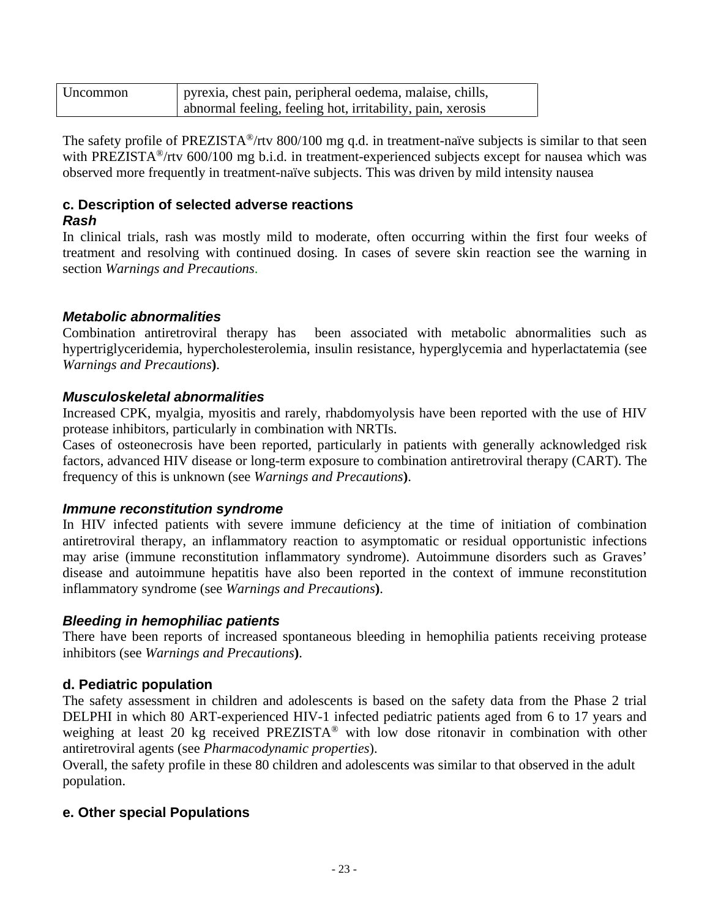| Uncommon | pyrexia, chest pain, peripheral oedema, malaise, chills,   |
|----------|------------------------------------------------------------|
|          | abnormal feeling, feeling hot, irritability, pain, xerosis |

The safety profile of PREZISTA<sup>®</sup>/rtv 800/100 mg q.d. in treatment-naïve subjects is similar to that seen with PREZISTA<sup>®</sup>/rtv 600/100 mg b.i.d. in treatment-experienced subjects except for nausea which was observed more frequently in treatment-naïve subjects. This was driven by mild intensity nausea

#### **c. Description of selected adverse reactions** *Rash*

In clinical trials, rash was mostly mild to moderate, often occurring within the first four weeks of treatment and resolving with continued dosing. In cases of severe skin reaction see the warning in section *Warnings and Precautions*.

### *Metabolic abnormalities*

Combination antiretroviral therapy has been associated with metabolic abnormalities such as hypertriglyceridemia, hypercholesterolemia, insulin resistance, hyperglycemia and hyperlactatemia (see *Warnings and Precautions***)**.

### *Musculoskeletal abnormalities*

Increased CPK, myalgia, myositis and rarely, rhabdomyolysis have been reported with the use of HIV protease inhibitors, particularly in combination with NRTIs.

Cases of osteonecrosis have been reported, particularly in patients with generally acknowledged risk factors, advanced HIV disease or long-term exposure to combination antiretroviral therapy (CART). The frequency of this is unknown (see *Warnings and Precautions***)**.

### *Immune reconstitution syndrome*

In HIV infected patients with severe immune deficiency at the time of initiation of combination antiretroviral therapy, an inflammatory reaction to asymptomatic or residual opportunistic infections may arise (immune reconstitution inflammatory syndrome). Autoimmune disorders such as Graves' disease and autoimmune hepatitis have also been reported in the context of immune reconstitution inflammatory syndrome (see *Warnings and Precautions***)**.

### *Bleeding in hemophiliac patients*

There have been reports of increased spontaneous bleeding in hemophilia patients receiving protease inhibitors (see *Warnings and Precautions***)**.

### **d. Pediatric population**

The safety assessment in children and adolescents is based on the safety data from the Phase 2 trial DELPHI in which 80 ART-experienced HIV-1 infected pediatric patients aged from 6 to 17 years and weighing at least 20 kg received PREZISTA<sup>®</sup> with low dose ritonavir in combination with other antiretroviral agents (see *Pharmacodynamic properties*).

Overall, the safety profile in these 80 children and adolescents was similar to that observed in the adult population.

### **e. Other special Populations**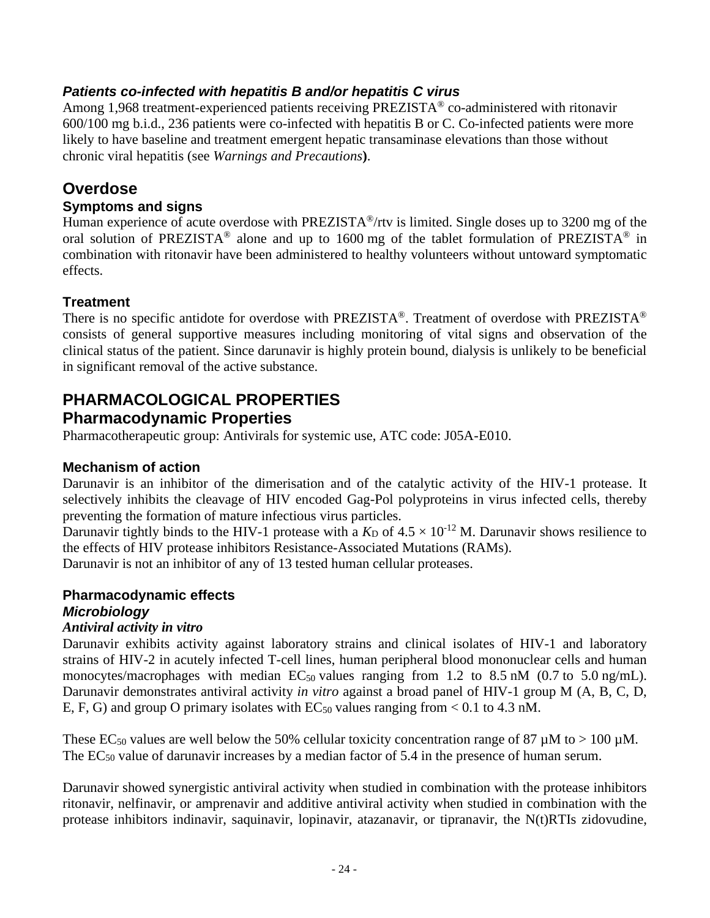### *Patients co-infected with hepatitis B and/or hepatitis C virus*

Among 1,968 treatment-experienced patients receiving PREZISTA<sup>®</sup> co-administered with ritonavir 600/100 mg b.i.d., 236 patients were co-infected with hepatitis B or C. Co-infected patients were more likely to have baseline and treatment emergent hepatic transaminase elevations than those without chronic viral hepatitis (see *Warnings and Precautions***)**.

# **Overdose**

### **Symptoms and signs**

Human experience of acute overdose with PREZISTA®/rtv is limited. Single doses up to 3200 mg of the oral solution of PREZISTA<sup>®</sup> alone and up to 1600 mg of the tablet formulation of PREZISTA<sup>®</sup> in combination with ritonavir have been administered to healthy volunteers without untoward symptomatic effects.

## **Treatment**

There is no specific antidote for overdose with PREZISTA®. Treatment of overdose with PREZISTA® consists of general supportive measures including monitoring of vital signs and observation of the clinical status of the patient. Since darunavir is highly protein bound, dialysis is unlikely to be beneficial in significant removal of the active substance.

# **PHARMACOLOGICAL PROPERTIES**

## **Pharmacodynamic Properties**

Pharmacotherapeutic group: Antivirals for systemic use, ATC code: J05A-E010.

### **Mechanism of action**

Darunavir is an inhibitor of the dimerisation and of the catalytic activity of the HIV-1 protease. It selectively inhibits the cleavage of HIV encoded Gag-Pol polyproteins in virus infected cells, thereby preventing the formation of mature infectious virus particles.

Darunavir tightly binds to the HIV-1 protease with a  $K_D$  of  $4.5 \times 10^{-12}$  M. Darunavir shows resilience to the effects of HIV protease inhibitors Resistance-Associated Mutations (RAMs).

Darunavir is not an inhibitor of any of 13 tested human cellular proteases.

## **Pharmacodynamic effects** *Microbiology*

### *Antiviral activity in vitro*

Darunavir exhibits activity against laboratory strains and clinical isolates of HIV-1 and laboratory strains of HIV-2 in acutely infected T-cell lines, human peripheral blood mononuclear cells and human monocytes/macrophages with median  $EC_{50}$  values ranging from 1.2 to 8.5 nM (0.7 to 5.0 ng/mL). Darunavir demonstrates antiviral activity *in vitro* against a broad panel of HIV-1 group M (A, B, C, D, E, F, G) and group O primary isolates with  $EC_{50}$  values ranging from < 0.1 to 4.3 nM.

These EC<sub>50</sub> values are well below the 50% cellular toxicity concentration range of 87  $\mu$ M to > 100  $\mu$ M. The EC<sub>50</sub> value of darunavir increases by a median factor of 5.4 in the presence of human serum.

Darunavir showed synergistic antiviral activity when studied in combination with the protease inhibitors ritonavir, nelfinavir, or amprenavir and additive antiviral activity when studied in combination with the protease inhibitors indinavir, saquinavir, lopinavir, atazanavir, or tipranavir, the N(t)RTIs zidovudine,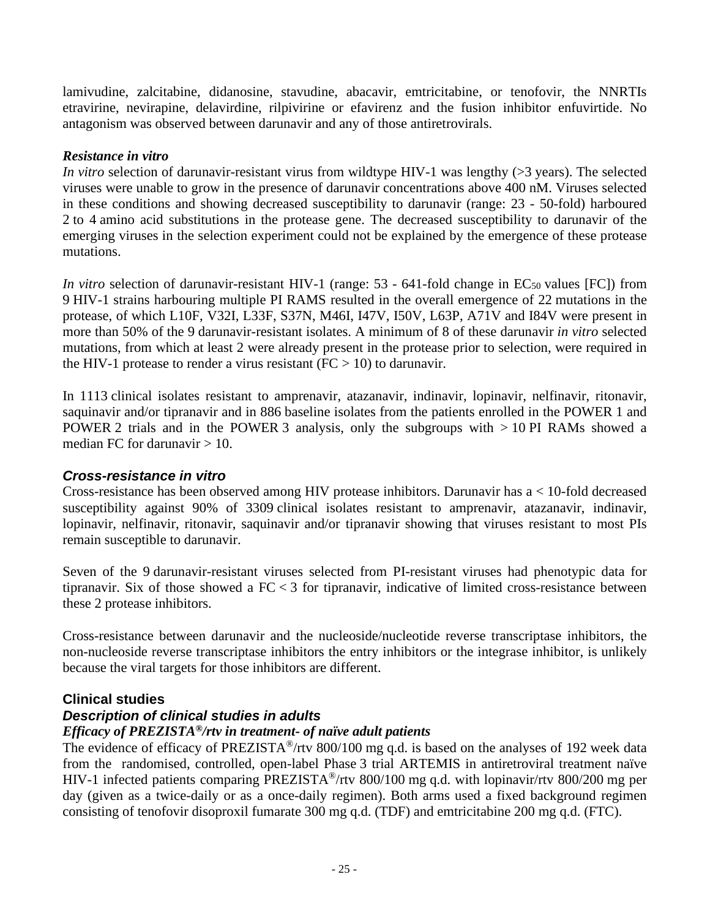lamivudine, zalcitabine, didanosine, stavudine, abacavir, emtricitabine, or tenofovir, the NNRTIs etravirine, nevirapine, delavirdine, rilpivirine or efavirenz and the fusion inhibitor enfuvirtide. No antagonism was observed between darunavir and any of those antiretrovirals.

### *Resistance in vitro*

*In vitro* selection of darunavir-resistant virus from wildtype HIV-1 was lengthy (>3 years). The selected viruses were unable to grow in the presence of darunavir concentrations above 400 nM. Viruses selected in these conditions and showing decreased susceptibility to darunavir (range: 23 - 50-fold) harboured 2 to 4 amino acid substitutions in the protease gene. The decreased susceptibility to darunavir of the emerging viruses in the selection experiment could not be explained by the emergence of these protease mutations.

*In vitro* selection of darunavir-resistant HIV-1 (range:  $53 - 641$ -fold change in EC<sub>50</sub> values [FC]) from 9 HIV-1 strains harbouring multiple PI RAMS resulted in the overall emergence of 22 mutations in the protease, of which L10F, V32I, L33F, S37N, M46I, I47V, I50V, L63P, A71V and I84V were present in more than 50% of the 9 darunavir-resistant isolates. A minimum of 8 of these darunavir *in vitro* selected mutations, from which at least 2 were already present in the protease prior to selection, were required in the HIV-1 protease to render a virus resistant ( $FC > 10$ ) to darunavir.

In 1113 clinical isolates resistant to amprenavir, atazanavir, indinavir, lopinavir, nelfinavir, ritonavir, saquinavir and/or tipranavir and in 886 baseline isolates from the patients enrolled in the POWER 1 and POWER 2 trials and in the POWER 3 analysis, only the subgroups with > 10 PI RAMs showed a median FC for darunavir  $> 10$ .

### *Cross-resistance in vitro*

Cross-resistance has been observed among HIV protease inhibitors. Darunavir has a < 10-fold decreased susceptibility against 90% of 3309 clinical isolates resistant to amprenavir, atazanavir, indinavir, lopinavir, nelfinavir, ritonavir, saquinavir and/or tipranavir showing that viruses resistant to most PIs remain susceptible to darunavir.

Seven of the 9 darunavir-resistant viruses selected from PI-resistant viruses had phenotypic data for tipranavir. Six of those showed a  $FC < 3$  for tipranavir, indicative of limited cross-resistance between these 2 protease inhibitors.

Cross-resistance between darunavir and the nucleoside/nucleotide reverse transcriptase inhibitors, the non-nucleoside reverse transcriptase inhibitors the entry inhibitors or the integrase inhibitor, is unlikely because the viral targets for those inhibitors are different.

### **Clinical studies**

### *Description of clinical studies in adults*

### *Efficacy of PREZISTA®/rtv in treatment- of naïve adult patients*

The evidence of efficacy of PREZISTA<sup>®</sup>/rtv 800/100 mg q.d. is based on the analyses of 192 week data from the randomised, controlled, open-label Phase 3 trial ARTEMIS in antiretroviral treatment naïve HIV-1 infected patients comparing PREZISTA®/rtv 800/100 mg q.d. with lopinavir/rtv 800/200 mg per day (given as a twice-daily or as a once-daily regimen). Both arms used a fixed background regimen consisting of tenofovir disoproxil fumarate 300 mg q.d. (TDF) and emtricitabine 200 mg q.d. (FTC).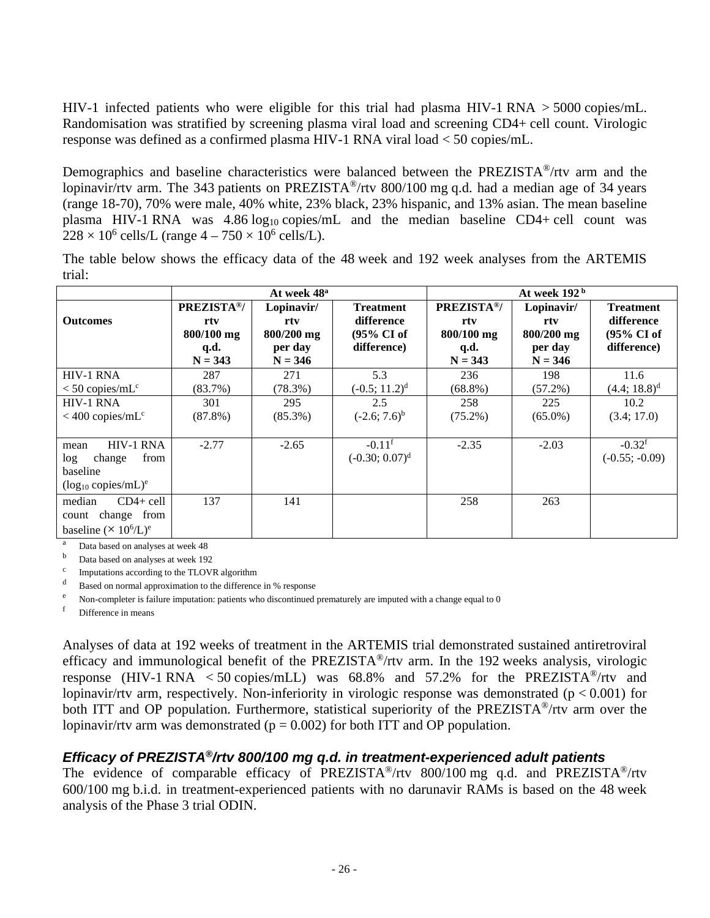HIV-1 infected patients who were eligible for this trial had plasma HIV-1 RNA > 5000 copies/mL. Randomisation was stratified by screening plasma viral load and screening CD4+ cell count. Virologic response was defined as a confirmed plasma HIV-1 RNA viral load < 50 copies/mL.

Demographics and baseline characteristics were balanced between the PREZISTA®/rtv arm and the lopinavir/rtv arm. The 343 patients on PREZISTA<sup>®</sup>/rtv 800/100 mg q.d. had a median age of 34 years (range 18-70), 70% were male, 40% white, 23% black, 23% hispanic, and 13% asian. The mean baseline plasma HIV-1 RNA was  $4.86 \log_{10} \text{copies/mL}$  and the median baseline CD4+ cell count was  $228 \times 10^6$  cells/L (range  $4 - 750 \times 10^6$  cells/L).

The table below shows the efficacy data of the 48 week and 192 week analyses from the ARTEMIS trial:

|                                                                                    | At week 48 <sup>a</sup>                                     |                                                         | At week 192 <sup>b</sup>                                                |                                                                   |                                                         |                                                                         |
|------------------------------------------------------------------------------------|-------------------------------------------------------------|---------------------------------------------------------|-------------------------------------------------------------------------|-------------------------------------------------------------------|---------------------------------------------------------|-------------------------------------------------------------------------|
| <b>Outcomes</b>                                                                    | <b>PREZISTA®/</b><br>rtv<br>800/100 mg<br>q.d.<br>$N = 343$ | Lopinavir/<br>rty<br>800/200 mg<br>per day<br>$N = 346$ | <b>Treatment</b><br>difference<br>$(95\% \text{ CI of})$<br>difference) | PREZISTA <sup>®</sup> /<br>rtv<br>800/100 mg<br>q.d.<br>$N = 343$ | Lopinavir/<br>rtv<br>800/200 mg<br>per day<br>$N = 346$ | <b>Treatment</b><br>difference<br>$(95\% \text{ CI of})$<br>difference) |
| <b>HIV-1 RNA</b><br>$<$ 50 copies/mL <sup>c</sup>                                  | 287<br>(83.7%)                                              | 271<br>$(78.3\%)$                                       | 5.3<br>$(-0.5; 11.2)^d$                                                 | 236<br>$(68.8\%)$                                                 | 198<br>$(57.2\%)$                                       | 11.6<br>$(4.4; 18.8)^d$                                                 |
| <b>HIV-1 RNA</b><br>$<$ 400 copies/mL <sup>c</sup>                                 | 301<br>$(87.8\%)$                                           | 295<br>$(85.3\%)$                                       | 2.5<br>$(-2.6; 7.6)^{b}$                                                | 258<br>$(75.2\%)$                                                 | 225<br>$(65.0\%)$                                       | 10.2<br>(3.4; 17.0)                                                     |
| HIV-1 RNA<br>mean<br>from<br>log<br>change<br>baseline<br>$(log_{10} copies/mL)^e$ | $-2.77$                                                     | $-2.65$                                                 | $-0.11$ <sup>f</sup><br>$(-0.30; 0.07)^d$                               | $-2.35$                                                           | $-2.03$                                                 | $-0.32$ <sup>f</sup><br>$(-0.55; -0.09)$                                |
| median<br>$CD4+cell$<br>change from<br>count<br>baseline $(\times 10^6/L)^e$       | 137                                                         | 141                                                     |                                                                         | 258                                                               | 263                                                     |                                                                         |

<sup>a</sup> Data based on analyses at week 48<br>b. Deta based on analyses at week  $10^{\circ}$ 

Data based on analyses at week 192

<sup>c</sup> Imputations according to the TLOVR algorithm

<sup>d</sup> Based on normal approximation to the difference in % response

<sup>e</sup> Non-completer is failure imputation: patients who discontinued prematurely are imputed with a change equal to 0<br> $\frac{1}{2}$ 

Difference in means

Analyses of data at 192 weeks of treatment in the ARTEMIS trial demonstrated sustained antiretroviral efficacy and immunological benefit of the PREZISTA®/rtv arm. In the 192 weeks analysis, virologic response (HIV-1 RNA  $\lt$  50 copies/mLL) was 68.8% and 57.2% for the PREZISTA<sup>®</sup>/rtv and lopinavir/rtv arm, respectively. Non-inferiority in virologic response was demonstrated ( $p < 0.001$ ) for both ITT and OP population. Furthermore, statistical superiority of the PREZISTA<sup>®</sup>/rtv arm over the lopinavir/rtv arm was demonstrated ( $p = 0.002$ ) for both ITT and OP population.

### *Efficacy of PREZISTA®/rtv 800/100 mg q.d. in treatment-experienced adult patients*

The evidence of comparable efficacy of PREZISTA<sup>®</sup>/rtv 800/100 mg q.d. and PREZISTA<sup>®</sup>/rtv 600/100 mg b.i.d. in treatment-experienced patients with no darunavir RAMs is based on the 48 week analysis of the Phase 3 trial ODIN.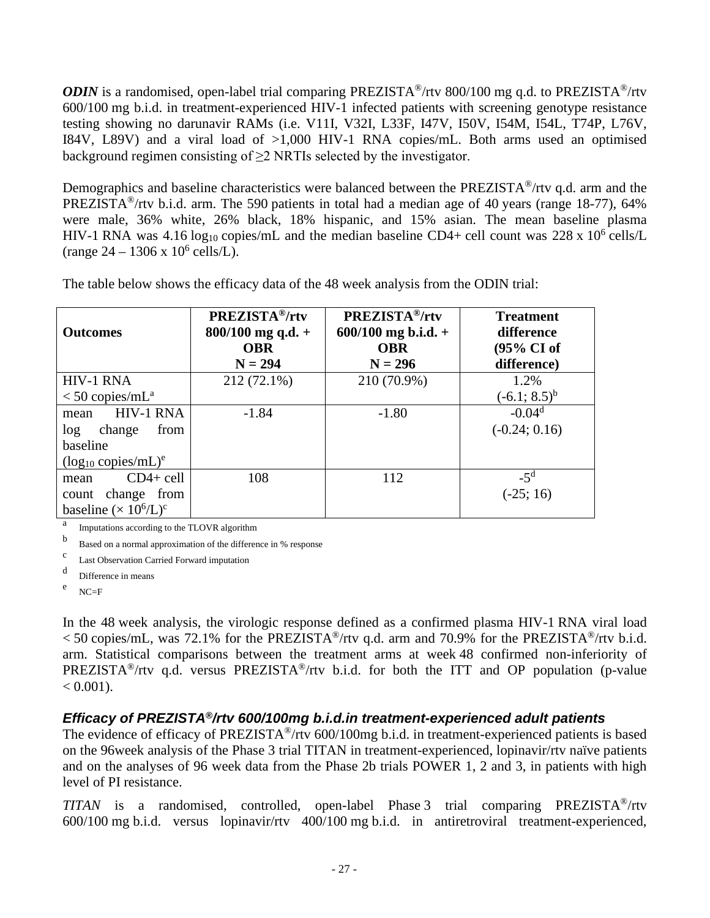*ODIN* is a randomised, open-label trial comparing PREZISTA<sup>®</sup>/rtv 800/100 mg q.d. to PREZISTA<sup>®</sup>/rtv 600/100 mg b.i.d. in treatment-experienced HIV-1 infected patients with screening genotype resistance testing showing no darunavir RAMs (i.e. V11I, V32I, L33F, I47V, I50V, I54M, I54L, T74P, L76V, I84V, L89V) and a viral load of >1,000 HIV-1 RNA copies/mL. Both arms used an optimised background regimen consisting of ≥2 NRTIs selected by the investigator.

Demographics and baseline characteristics were balanced between the PREZISTA<sup>®</sup>/rtv q.d. arm and the PREZISTA<sup>®</sup>/rtv b.i.d. arm. The 590 patients in total had a median age of 40 years (range 18-77), 64% were male, 36% white, 26% black, 18% hispanic, and 15% asian. The mean baseline plasma HIV-1 RNA was 4.16 log<sub>10</sub> copies/mL and the median baseline CD4+ cell count was 228 x 10<sup>6</sup> cells/L  $(\text{range } 24 - 1306 \times 10^6 \text{ cells/L}).$ 

| <b>Outcomes</b>               | <b>PREZISTA®/rtv</b><br>$800/100$ mg q.d. +<br><b>OBR</b> | PREZISTA <sup>®</sup> /rtv<br>$600/100$ mg b.i.d. +<br><b>OBR</b> | <b>Treatment</b><br>difference<br>(95% CI of |
|-------------------------------|-----------------------------------------------------------|-------------------------------------------------------------------|----------------------------------------------|
|                               | $N = 294$                                                 | $N = 296$                                                         | difference)                                  |
| <b>HIV-1 RNA</b>              | 212 (72.1%)                                               | 210 (70.9%)                                                       | 1.2%                                         |
| $<$ 50 copies/mL <sup>a</sup> |                                                           |                                                                   | $(-6.1; 8.5)^{b}$                            |
| <b>HIV-1 RNA</b><br>mean      | $-1.84$                                                   | $-1.80$                                                           | $-0.04d$                                     |
| log<br>change<br>from         |                                                           |                                                                   | $(-0.24; 0.16)$                              |
| baseline                      |                                                           |                                                                   |                                              |
| $(log_{10} copies/mL)^e$      |                                                           |                                                                   |                                              |
| $CD4 + cell$<br>mean          | 108                                                       | 112                                                               | $-5^d$                                       |
| change from<br>count          |                                                           |                                                                   | $(-25; 16)$                                  |
| baseline $(\times 10^6/L)^c$  |                                                           |                                                                   |                                              |

The table below shows the efficacy data of the 48 week analysis from the ODIN trial:

<sup>a</sup> Imputations according to the TLOVR algorithm

<sup>b</sup> Based on a normal approximation of the difference in % response

<sup>c</sup> Last Observation Carried Forward imputation

<sup>d</sup> Difference in means

 $e$  NC=F

In the 48 week analysis, the virologic response defined as a confirmed plasma HIV-1 RNA viral load  $<$  50 copies/mL, was 72.1% for the PREZISTA<sup>®</sup>/rtv q.d. arm and 70.9% for the PREZISTA<sup>®</sup>/rtv b.i.d. arm. Statistical comparisons between the treatment arms at week 48 confirmed non-inferiority of PREZISTA®/rtv q.d. versus PREZISTA®/rtv b.i.d. for both the ITT and OP population (p-value  $< 0.001$ ).

### *Efficacy of PREZISTA®/rtv 600/100mg b.i.d.in treatment-experienced adult patients*

The evidence of efficacy of PREZISTA®/rtv 600/100mg b.i.d. in treatment-experienced patients is based on the 96week analysis of the Phase 3 trial TITAN in treatment-experienced, lopinavir/rtv naïve patients and on the analyses of 96 week data from the Phase 2b trials POWER 1, 2 and 3, in patients with high level of PI resistance.

*TITAN* is a randomised, controlled, open-label Phase 3 trial comparing PREZISTA®/rtv 600/100 mg b.i.d. versus lopinavir/rtv 400/100 mg b.i.d. in antiretroviral treatment-experienced,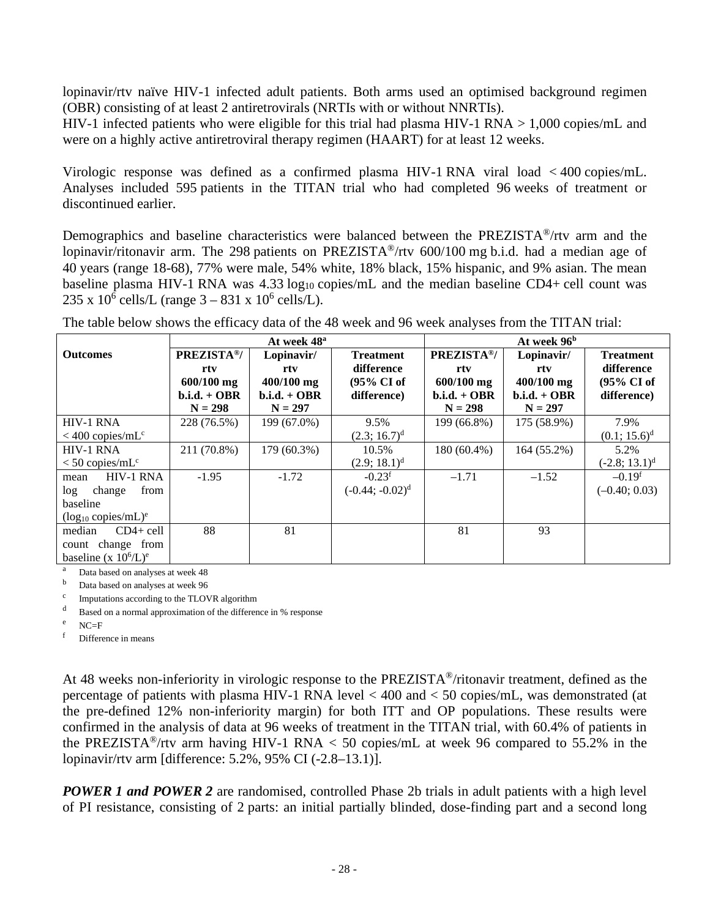lopinavir/rtv naïve HIV-1 infected adult patients. Both arms used an optimised background regimen (OBR) consisting of at least 2 antiretrovirals (NRTIs with or without NNRTIs).

HIV-1 infected patients who were eligible for this trial had plasma HIV-1 RNA > 1,000 copies/mL and were on a highly active antiretroviral therapy regimen (HAART) for at least 12 weeks.

Virologic response was defined as a confirmed plasma HIV-1 RNA viral load < 400 copies/mL. Analyses included 595 patients in the TITAN trial who had completed 96 weeks of treatment or discontinued earlier.

Demographics and baseline characteristics were balanced between the PREZISTA®/rtv arm and the lopinavir/ritonavir arm. The 298 patients on PREZISTA®/rtv 600/100 mg b.i.d. had a median age of 40 years (range 18-68), 77% were male, 54% white, 18% black, 15% hispanic, and 9% asian. The mean baseline plasma HIV-1 RNA was  $4.33 \log_{10}$  copies/mL and the median baseline CD4+ cell count was 235 x  $10^6$  cells/L (range  $3 - 831$  x  $10^6$  cells/L).

|                                     | At week 96 <sup>b</sup><br>At week 48 <sup>a</sup> |                                |                                       |                                |                              |                                |
|-------------------------------------|----------------------------------------------------|--------------------------------|---------------------------------------|--------------------------------|------------------------------|--------------------------------|
| <b>Outcomes</b>                     | PREZISTA <sup>®</sup> /<br>rty                     | Lopinavir/<br>rtv              | <b>Treatment</b><br>difference        | PREZISTA <sup>®</sup> /<br>rtv | Lopinavir/<br>rtv            | <b>Treatment</b><br>difference |
|                                     | $600/100$ mg<br>$b.i.d. + OBR$                     | $400/100$ mg<br>$b.i.d. + OBR$ | $(95\% \text{ CI of})$<br>difference) | $600/100$ mg<br>$b.i.d. + OBR$ | 400/100 mg<br>$b.i.d. + OBR$ | (95% CI of<br>difference)      |
|                                     | $N = 298$                                          | $N = 297$                      |                                       | $N = 298$                      | $N = 297$                    |                                |
| <b>HIV-1 RNA</b>                    | 228 (76.5%)                                        | 199 (67.0%)                    | 9.5%                                  | 199 (66.8%)                    | 175 (58.9%)                  | 7.9%                           |
| $< 400$ copies/mL <sup>c</sup>      |                                                    |                                | $(2.3; 16.7)^d$                       |                                |                              | $(0.1; 15.6)^d$                |
| <b>HIV-1 RNA</b>                    | 211 (70.8%)                                        | 179 (60.3%)                    | 10.5%                                 | 180 (60.4%)                    | $164(55.2\%)$                | 5.2%                           |
| $<$ 50 copies/mL <sup>c</sup>       |                                                    |                                | $(2.9; 18.1)^d$                       |                                |                              | $(-2.8; 13.1)^d$               |
| <b>HIV-1 RNA</b><br>mean            | $-1.95$                                            | $-1.72$                        | $-0.23$ <sup>f</sup>                  | $-1.71$                        | $-1.52$                      | $-0.19f$                       |
| from<br>change<br>log               |                                                    |                                | $(-0.44; -0.02)^d$                    |                                |                              | $(-0.40; 0.03)$                |
| baseline                            |                                                    |                                |                                       |                                |                              |                                |
| $(log_{10} copies/mL)^e$            |                                                    |                                |                                       |                                |                              |                                |
| $CD4+cell$<br>median                | 88                                                 | 81                             |                                       | 81                             | 93                           |                                |
| count change from                   |                                                    |                                |                                       |                                |                              |                                |
| baseline (x $10^6$ /L) <sup>e</sup> |                                                    |                                |                                       |                                |                              |                                |

The table below shows the efficacy data of the 48 week and 96 week analyses from the TITAN trial:

<sup>a</sup> Data based on analyses at week 48

Data based on analyses at week 96

Imputations according to the TLOVR algorithm

d Based on a normal approximation of the difference in % response

 $NC=F$ 

<sup>f</sup> Difference in means

At 48 weeks non-inferiority in virologic response to the PREZISTA®/ritonavir treatment, defined as the percentage of patients with plasma HIV-1 RNA level < 400 and < 50 copies/mL, was demonstrated (at the pre-defined 12% non-inferiority margin) for both ITT and OP populations. These results were confirmed in the analysis of data at 96 weeks of treatment in the TITAN trial, with 60.4% of patients in the PREZISTA<sup>®</sup>/rtv arm having HIV-1 RNA < 50 copies/mL at week 96 compared to 55.2% in the lopinavir/rtv arm [difference: 5.2%, 95% CI (-2.8–13.1)].

*POWER 1 and POWER 2* are randomised, controlled Phase 2b trials in adult patients with a high level of PI resistance, consisting of 2 parts: an initial partially blinded, dose-finding part and a second long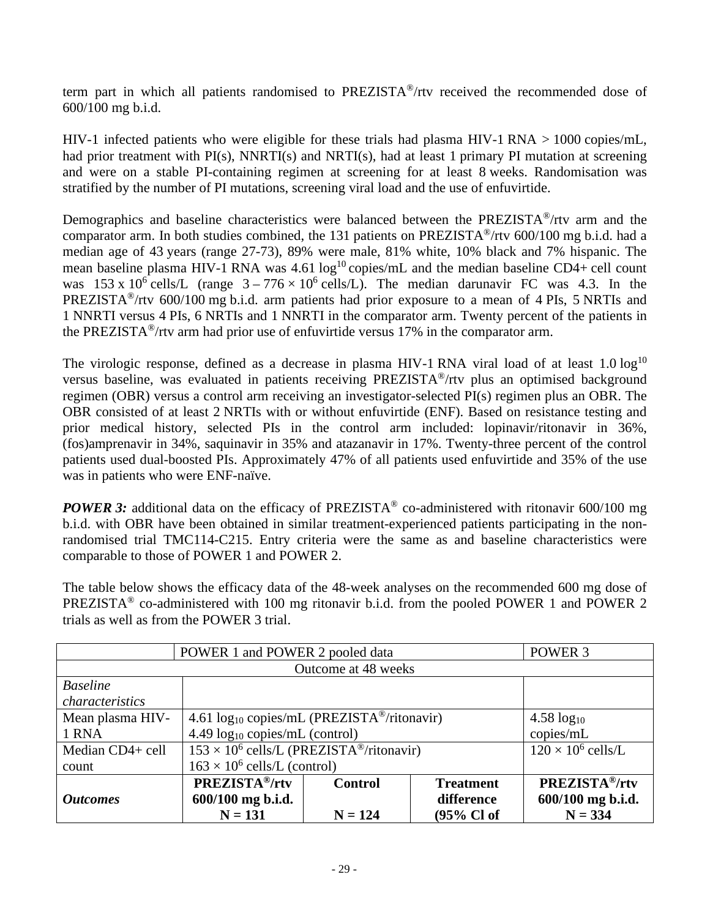term part in which all patients randomised to PREZISTA®/rtv received the recommended dose of 600/100 mg b.i.d.

HIV-1 infected patients who were eligible for these trials had plasma HIV-1 RNA > 1000 copies/mL, had prior treatment with PI(s), NNRTI(s) and NRTI(s), had at least 1 primary PI mutation at screening and were on a stable PI-containing regimen at screening for at least 8 weeks. Randomisation was stratified by the number of PI mutations, screening viral load and the use of enfuvirtide.

Demographics and baseline characteristics were balanced between the PREZISTA®/rtv arm and the comparator arm. In both studies combined, the 131 patients on PREZISTA®/rtv 600/100 mg b.i.d. had a median age of 43 years (range 27-73), 89% were male, 81% white, 10% black and 7% hispanic. The mean baseline plasma HIV-1 RNA was  $4.61 \log^{10}$  copies/mL and the median baseline CD4+ cell count was 153 x 10<sup>6</sup> cells/L (range  $3 - 776 \times 10^6$  cells/L). The median darunavir FC was 4.3. In the PREZISTA<sup>®</sup>/rtv 600/100 mg b.i.d. arm patients had prior exposure to a mean of 4 PIs, 5 NRTIs and 1 NNRTI versus 4 PIs, 6 NRTIs and 1 NNRTI in the comparator arm. Twenty percent of the patients in the PREZISTA®/rtv arm had prior use of enfuvirtide versus 17% in the comparator arm.

The virologic response, defined as a decrease in plasma HIV-1 RNA viral load of at least  $1.0 \log^{10}$ versus baseline, was evaluated in patients receiving PREZISTA®/rtv plus an optimised background regimen (OBR) versus a control arm receiving an investigator-selected PI(s) regimen plus an OBR. The OBR consisted of at least 2 NRTIs with or without enfuvirtide (ENF). Based on resistance testing and prior medical history, selected PIs in the control arm included: lopinavir/ritonavir in 36%, (fos)amprenavir in 34%, saquinavir in 35% and atazanavir in 17%. Twenty-three percent of the control patients used dual-boosted PIs. Approximately 47% of all patients used enfuvirtide and 35% of the use was in patients who were ENF-naïve.

*POWER* 3: additional data on the efficacy of PREZISTA<sup>®</sup> co-administered with ritonavir 600/100 mg b.i.d. with OBR have been obtained in similar treatment-experienced patients participating in the nonrandomised trial TMC114-C215. Entry criteria were the same as and baseline characteristics were comparable to those of POWER 1 and POWER 2.

The table below shows the efficacy data of the 48-week analyses on the recommended 600 mg dose of PREZISTA® co-administered with 100 mg ritonavir b.i.d. from the pooled POWER 1 and POWER 2 trials as well as from the POWER 3 trial.

| POWER 1 and POWER 2 pooled data | POWER 3                                                                            |                                                         |            |                  |  |  |
|---------------------------------|------------------------------------------------------------------------------------|---------------------------------------------------------|------------|------------------|--|--|
|                                 | Outcome at 48 weeks                                                                |                                                         |            |                  |  |  |
| <b>Baseline</b>                 |                                                                                    |                                                         |            |                  |  |  |
| characteristics                 |                                                                                    |                                                         |            |                  |  |  |
| Mean plasma HIV-                | 4.61 $log_{10}$ copies/mL (PREZISTA <sup>®</sup> /ritonavir)                       |                                                         |            | $4.58 \log_{10}$ |  |  |
| 1 RNA                           |                                                                                    | copies/mL<br>4.49 log <sub>10</sub> copies/mL (control) |            |                  |  |  |
| Median CD4+ cell                | $153 \times 10^6$ cells/L (PREZISTA®/ritonavir)<br>$120 \times 10^6$ cells/L       |                                                         |            |                  |  |  |
| count                           |                                                                                    | $163 \times 10^6$ cells/L (control)                     |            |                  |  |  |
|                                 | <b>PREZISTA®/rtv</b><br><b>PREZISTA®/rtv</b><br><b>Control</b><br><b>Treatment</b> |                                                         |            |                  |  |  |
| <i><b>Outcomes</b></i>          | 600/100 mg b.i.d.<br>600/100 mg b.i.d.<br>difference                               |                                                         |            |                  |  |  |
|                                 | $N = 131$                                                                          | $N = 124$                                               | (95% Cl of | $N = 334$        |  |  |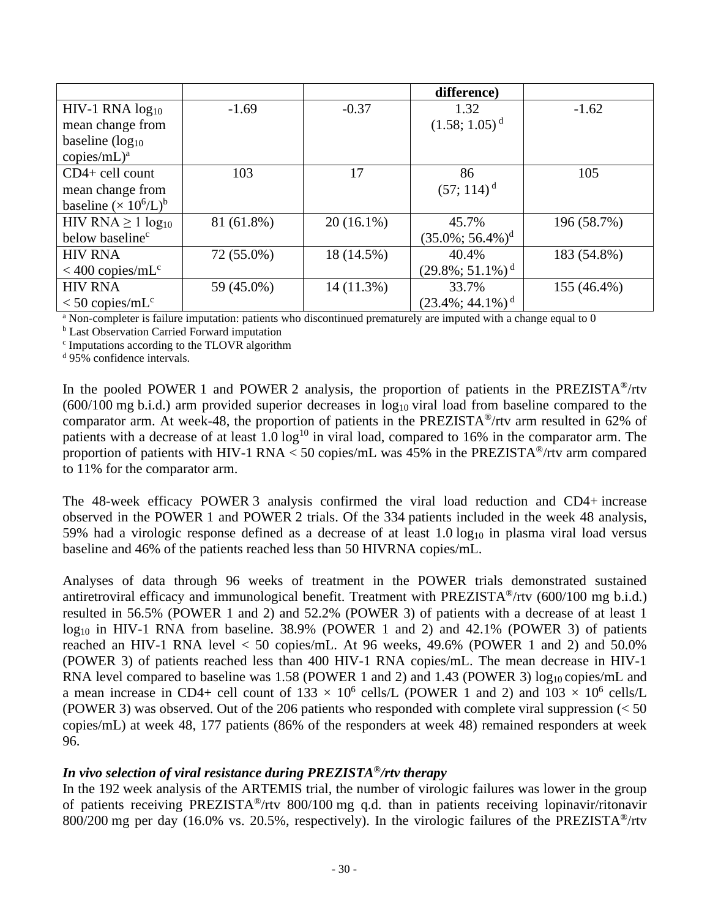|                                |            |              | difference)                     |             |
|--------------------------------|------------|--------------|---------------------------------|-------------|
| HIV-1 RNA log <sub>10</sub>    | $-1.69$    | $-0.37$      | 1.32                            | $-1.62$     |
| mean change from               |            |              | $(1.58; 1.05)^d$                |             |
| baseline $(log_{10}$           |            |              |                                 |             |
| $copies/mL)^a$                 |            |              |                                 |             |
| $CD4+$ cell count              | 103        | 17           | 86                              | 105         |
| mean change from               |            |              | $(57; 114)^d$                   |             |
| baseline $(\times 10^6/L)^b$   |            |              |                                 |             |
| HIV RNA $\geq 1 \log_{10}$     | 81 (61.8%) | $20(16.1\%)$ | 45.7%                           | 196 (58.7%) |
| below baseline <sup>c</sup>    |            |              | $(35.0\%; 56.4\%)$ <sup>d</sup> |             |
| <b>HIV RNA</b>                 | 72 (55.0%) | 18 (14.5%)   | 40.4%                           | 183 (54.8%) |
| $<$ 400 copies/mL <sup>c</sup> |            |              | $(29.8\%; 51.1\%)$ <sup>d</sup> |             |
| <b>HIV RNA</b>                 | 59 (45.0%) | 14(11.3%)    | 33.7%                           | 155 (46.4%) |
| $<$ 50 copies/mL <sup>c</sup>  |            |              | $(23.4\%; 44.1\%)$ <sup>d</sup> |             |

<sup>a</sup> Non-completer is failure imputation: patients who discontinued prematurely are imputed with a change equal to 0

**b** Last Observation Carried Forward imputation

<sup>c</sup> Imputations according to the TLOVR algorithm

<sup>d</sup> 95% confidence intervals.

In the pooled POWER 1 and POWER 2 analysis, the proportion of patients in the PREZISTA<sup>®</sup>/rtv  $(600/100 \text{ mg b.i.d.})$  arm provided superior decreases in  $\log_{10}$  viral load from baseline compared to the comparator arm. At week-48, the proportion of patients in the PREZISTA®/rtv arm resulted in 62% of patients with a decrease of at least  $1.0 \log^{10}$  in viral load, compared to 16% in the comparator arm. The proportion of patients with HIV-1 RNA  $<$  50 copies/mL was 45% in the PREZISTA<sup>®</sup>/rtv arm compared to 11% for the comparator arm.

The 48-week efficacy POWER 3 analysis confirmed the viral load reduction and CD4+ increase observed in the POWER 1 and POWER 2 trials. Of the 334 patients included in the week 48 analysis, 59% had a virologic response defined as a decrease of at least  $1.0 \log_{10}$  in plasma viral load versus baseline and 46% of the patients reached less than 50 HIVRNA copies/mL.

Analyses of data through 96 weeks of treatment in the POWER trials demonstrated sustained antiretroviral efficacy and immunological benefit. Treatment with PREZISTA®/rtv (600/100 mg b.i.d.) resulted in 56.5% (POWER 1 and 2) and 52.2% (POWER 3) of patients with a decrease of at least 1 log<sub>10</sub> in HIV-1 RNA from baseline. 38.9% (POWER 1 and 2) and 42.1% (POWER 3) of patients reached an HIV-1 RNA level  $<$  50 copies/mL. At 96 weeks, 49.6% (POWER 1 and 2) and 50.0% (POWER 3) of patients reached less than 400 HIV-1 RNA copies/mL. The mean decrease in HIV-1 RNA level compared to baseline was  $1.58$  (POWER 1 and 2) and  $1.43$  (POWER 3) log<sub>10</sub> copies/mL and a mean increase in CD4+ cell count of  $133 \times 10^6$  cells/L (POWER 1 and 2) and  $103 \times 10^6$  cells/L (POWER 3) was observed. Out of the 206 patients who responded with complete viral suppression  $\leq 50$ copies/mL) at week 48, 177 patients (86% of the responders at week 48) remained responders at week 96.

#### *In vivo selection of viral resistance during PREZISTA®/rtv therapy*

In the 192 week analysis of the ARTEMIS trial, the number of virologic failures was lower in the group of patients receiving PREZISTA®/rtv 800/100 mg q.d. than in patients receiving lopinavir/ritonavir 800/200 mg per day (16.0% vs. 20.5%, respectively). In the virologic failures of the PREZISTA<sup>®</sup>/rtv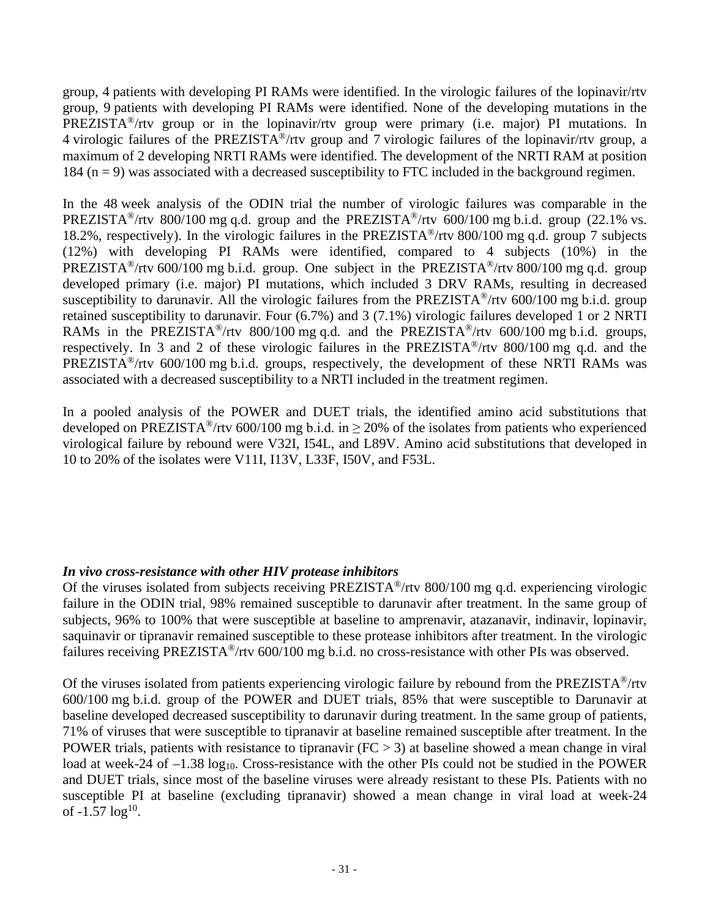group, 4 patients with developing PI RAMs were identified. In the virologic failures of the lopinavir/rtv group, 9 patients with developing PI RAMs were identified. None of the developing mutations in the PREZISTA<sup>®</sup>/rtv group or in the lopinavir/rtv group were primary (i.e. major) PI mutations. In 4 virologic failures of the PREZISTA®/rtv group and 7 virologic failures of the lopinavir/rtv group, a maximum of 2 developing NRTI RAMs were identified. The development of the NRTI RAM at position 184 ( $n = 9$ ) was associated with a decreased susceptibility to FTC included in the background regimen.

In the 48 week analysis of the ODIN trial the number of virologic failures was comparable in the PREZISTA<sup>®</sup>/rtv 800/100 mg q.d. group and the PREZISTA<sup>®</sup>/rtv 600/100 mg b.i.d. group (22.1% vs. 18.2%, respectively). In the virologic failures in the PREZISTA®/rtv 800/100 mg q.d. group 7 subjects (12%) with developing PI RAMs were identified, compared to 4 subjects (10%) in the PREZISTA<sup>®</sup>/rtv 600/100 mg b.i.d. group. One subject in the PREZISTA<sup>®</sup>/rtv 800/100 mg q.d. group developed primary (i.e. major) PI mutations, which included 3 DRV RAMs, resulting in decreased susceptibility to darunavir. All the virologic failures from the PREZISTA<sup>®</sup>/rtv 600/100 mg b.i.d. group retained susceptibility to darunavir. Four (6.7%) and 3 (7.1%) virologic failures developed 1 or 2 NRTI RAMs in the PREZISTA<sup>®</sup>/rtv 800/100 mg q.d. and the PREZISTA<sup>®</sup>/rtv 600/100 mg b.i.d. groups, respectively. In 3 and 2 of these virologic failures in the PREZISTA®/rtv 800/100 mg q.d. and the PREZISTA<sup>®</sup>/rtv 600/100 mg b.i.d. groups, respectively, the development of these NRTI RAMs was associated with a decreased susceptibility to a NRTI included in the treatment regimen.

In a pooled analysis of the POWER and DUET trials, the identified amino acid substitutions that developed on PREZISTA<sup>®</sup>/rtv 600/100 mg b.i.d. in  $> 20\%$  of the isolates from patients who experienced virological failure by rebound were V32I, I54L, and L89V. Amino acid substitutions that developed in 10 to 20% of the isolates were V11I, I13V, L33F, I50V, and F53L.

### *In vivo cross-resistance with other HIV protease inhibitors*

Of the viruses isolated from subjects receiving PREZISTA®/rtv 800/100 mg q.d. experiencing virologic failure in the ODIN trial, 98% remained susceptible to darunavir after treatment. In the same group of subjects, 96% to 100% that were susceptible at baseline to amprenavir, atazanavir, indinavir, lopinavir, saquinavir or tipranavir remained susceptible to these protease inhibitors after treatment. In the virologic failures receiving PREZISTA®/rtv 600/100 mg b.i.d. no cross-resistance with other PIs was observed.

Of the viruses isolated from patients experiencing virologic failure by rebound from the PREZISTA®/rtv 600/100 mg b.i.d. group of the POWER and DUET trials, 85% that were susceptible to Darunavir at baseline developed decreased susceptibility to darunavir during treatment. In the same group of patients, 71% of viruses that were susceptible to tipranavir at baseline remained susceptible after treatment. In the POWER trials, patients with resistance to tipranavir ( $FC > 3$ ) at baseline showed a mean change in viral load at week-24 of  $-1.38 \log_{10}$ . Cross-resistance with the other PIs could not be studied in the POWER and DUET trials, since most of the baseline viruses were already resistant to these PIs. Patients with no susceptible PI at baseline (excluding tipranavir) showed a mean change in viral load at week-24 of  $-1.57 \log^{10}$ .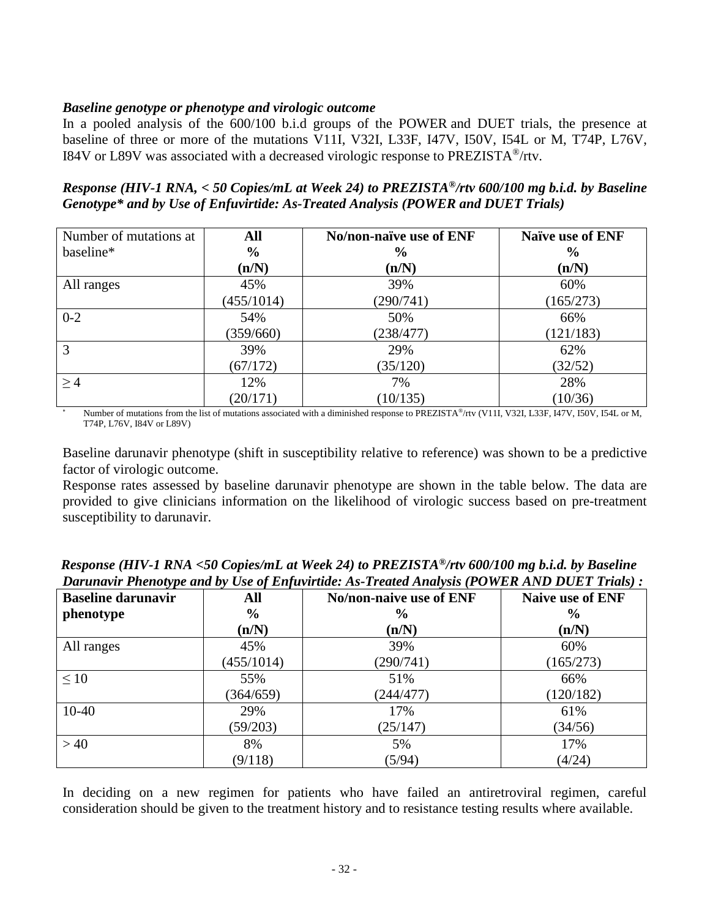### *Baseline genotype or phenotype and virologic outcome*

In a pooled analysis of the 600/100 b.i.d groups of the POWER and DUET trials, the presence at baseline of three or more of the mutations V11I, V32I, L33F, I47V, I50V, I54L or M, T74P, L76V, I84V or L89V was associated with a decreased virologic response to PREZISTA®/rtv.

*Response (HIV-1 RNA, < 50 Copies/mL at Week 24) to PREZISTA®/rtv 600/100 mg b.i.d. by Baseline Genotype\* and by Use of Enfuvirtide: As-Treated Analysis (POWER and DUET Trials)*

| Number of mutations at | All           | No/non-naïve use of ENF | Naïve use of ENF |
|------------------------|---------------|-------------------------|------------------|
| baseline*              | $\frac{6}{6}$ | $\frac{6}{6}$           | $\frac{6}{9}$    |
|                        | (n/N)         | (n/N)                   | (n/N)            |
| All ranges             | 45%           | 39%                     | 60%              |
|                        | (455/1014)    | (290/741)               | (165/273)        |
| $0 - 2$                | 54%           | 50%                     | 66%              |
|                        | (359/660)     | (238/477)               | (121/183)        |
| 3                      | 39%           | 29%                     | 62%              |
|                        | (67/172)      | (35/120)                | (32/52)          |
| >4                     | 12%           | 7%                      | 28%              |
|                        | (20/171)      | (10/135)                | (10/36)          |

Number of mutations from the list of mutations associated with a diminished response to PREZISTA®/rtv (V11I, V32I, L33F, I47V, I50V, I54L or M, T74P, L76V, I84V or L89V)

Baseline darunavir phenotype (shift in susceptibility relative to reference) was shown to be a predictive factor of virologic outcome.

Response rates assessed by baseline darunavir phenotype are shown in the table below. The data are provided to give clinicians information on the likelihood of virologic success based on pre-treatment susceptibility to darunavir.

| <b>Baseline darunavir</b> | All           | No/non-naive use of ENF | <b>Naive use of ENF</b> |
|---------------------------|---------------|-------------------------|-------------------------|
| phenotype                 | $\frac{0}{0}$ | $\frac{6}{9}$           | $\frac{0}{0}$           |
|                           | (n/N)         | (n/N)                   | (n/N)                   |
| All ranges                | 45%           | 39%                     | 60%                     |
|                           | (455/1014)    | (290/741)               | (165/273)               |
| $\leq 10$                 | 55%           | 51%                     | 66%                     |
|                           | (364/659)     | (244/477)               | (120/182)               |
| $10 - 40$                 | 29%           | 17%                     | 61%                     |
|                           | (59/203)      | (25/147)                | (34/56)                 |
| >40                       | 8%            | 5%                      | 17%                     |
|                           | (9/118)       | (5/94)                  | (4/24)                  |

*Response (HIV-1 RNA <50 Copies/mL at Week 24) to PREZISTA®/rtv 600/100 mg b.i.d. by Baseline Darunavir Phenotype and by Use of Enfuvirtide: As-Treated Analysis (POWER AND DUET Trials) :*

In deciding on a new regimen for patients who have failed an antiretroviral regimen, careful consideration should be given to the treatment history and to resistance testing results where available.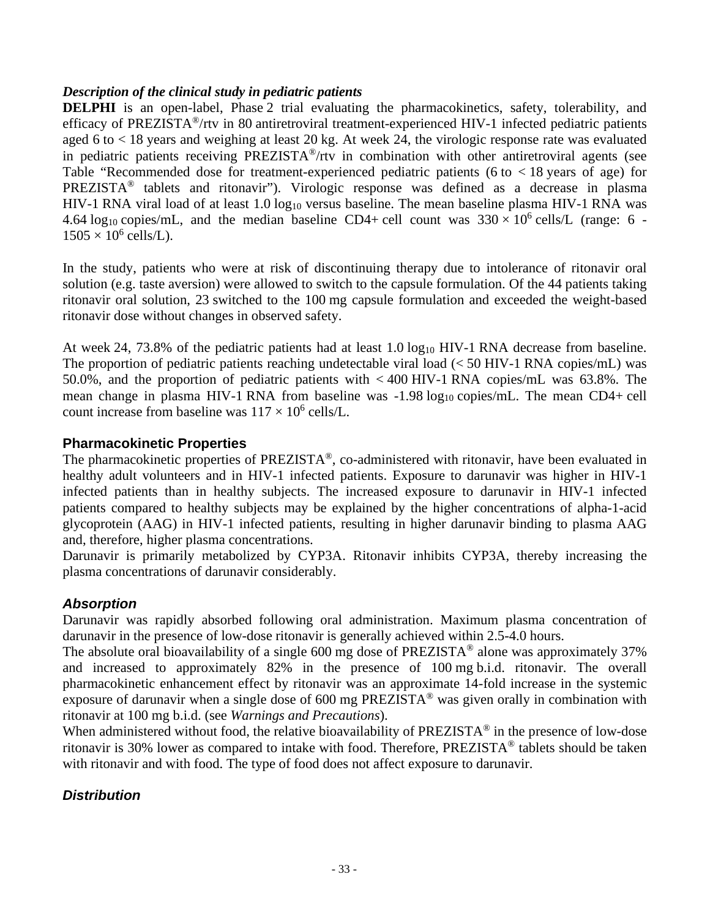### *Description of the clinical study in pediatric patients*

**DELPHI** is an open-label, Phase 2 trial evaluating the pharmacokinetics, safety, tolerability, and efficacy of PREZISTA®/rtv in 80 antiretroviral treatment-experienced HIV-1 infected pediatric patients aged 6 to < 18 years and weighing at least 20 kg. At week 24, the virologic response rate was evaluated in pediatric patients receiving PREZISTA®/rtv in combination with other antiretroviral agents (see Table "Recommended dose for treatment-experienced pediatric patients (6 to < 18 years of age) for PREZISTA® tablets and ritonavir"). Virologic response was defined as a decrease in plasma HIV-1 RNA viral load of at least  $1.0 \log_{10}$  versus baseline. The mean baseline plasma HIV-1 RNA was 4.64 log<sub>10</sub> copies/mL, and the median baseline CD4+ cell count was  $330 \times 10^6$  cells/L (range: 6 - $1505 \times 10^6$  cells/L).

In the study, patients who were at risk of discontinuing therapy due to intolerance of ritonavir oral solution (e.g. taste aversion) were allowed to switch to the capsule formulation. Of the 44 patients taking ritonavir oral solution, 23 switched to the 100 mg capsule formulation and exceeded the weight-based ritonavir dose without changes in observed safety.

At week 24, 73.8% of the pediatric patients had at least 1.0 log<sub>10</sub> HIV-1 RNA decrease from baseline. The proportion of pediatric patients reaching undetectable viral load (< 50 HIV-1 RNA copies/mL) was 50.0%, and the proportion of pediatric patients with < 400 HIV-1 RNA copies/mL was 63.8%. The mean change in plasma HIV-1 RNA from baseline was  $-1.98 \log_{10}$  copies/mL. The mean CD4+ cell count increase from baseline was  $117 \times 10^6$  cells/L.

### **Pharmacokinetic Properties**

The pharmacokinetic properties of PREZISTA®, co-administered with ritonavir, have been evaluated in healthy adult volunteers and in HIV-1 infected patients. Exposure to darunavir was higher in HIV-1 infected patients than in healthy subjects. The increased exposure to darunavir in HIV-1 infected patients compared to healthy subjects may be explained by the higher concentrations of alpha-1-acid glycoprotein (AAG) in HIV-1 infected patients, resulting in higher darunavir binding to plasma AAG and, therefore, higher plasma concentrations.

Darunavir is primarily metabolized by CYP3A. Ritonavir inhibits CYP3A, thereby increasing the plasma concentrations of darunavir considerably.

### *Absorption*

Darunavir was rapidly absorbed following oral administration. Maximum plasma concentration of darunavir in the presence of low-dose ritonavir is generally achieved within 2.5-4.0 hours.

The absolute oral bioavailability of a single 600 mg dose of PREZISTA<sup>®</sup> alone was approximately 37% and increased to approximately 82% in the presence of 100 mg b.i.d. ritonavir. The overall pharmacokinetic enhancement effect by ritonavir was an approximate 14-fold increase in the systemic exposure of darunavir when a single dose of 600 mg PREZISTA® was given orally in combination with ritonavir at 100 mg b.i.d. (see *Warnings and Precautions*).

When administered without food, the relative bioavailability of PREZISTA<sup>®</sup> in the presence of low-dose ritonavir is 30% lower as compared to intake with food. Therefore, PREZISTA® tablets should be taken with ritonavir and with food. The type of food does not affect exposure to darunavir.

### *Distribution*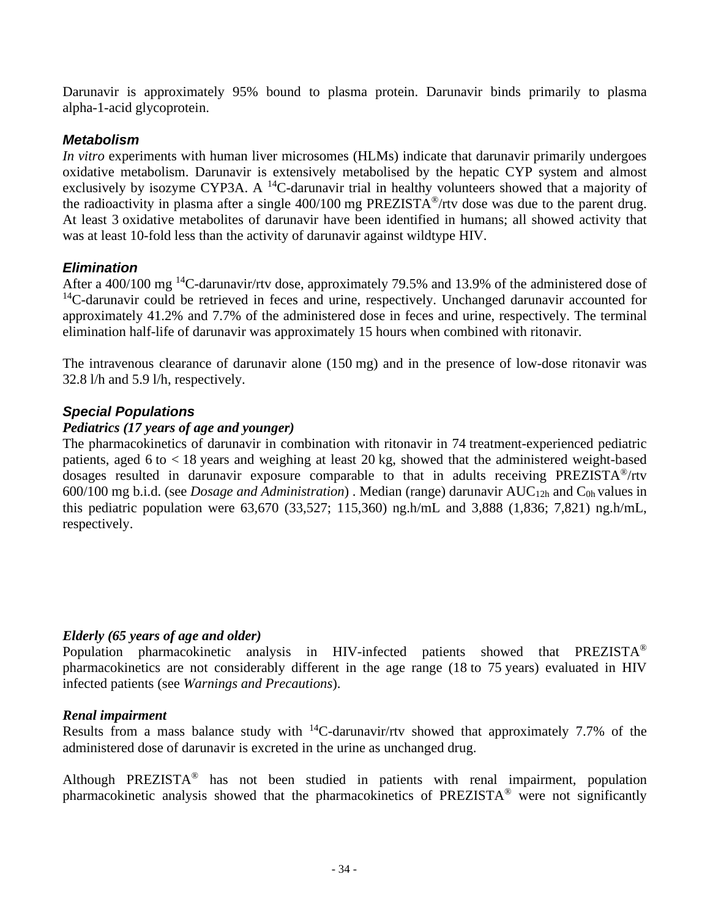Darunavir is approximately 95% bound to plasma protein. Darunavir binds primarily to plasma alpha-1-acid glycoprotein.

### *Metabolism*

*In vitro* experiments with human liver microsomes (HLMs) indicate that darunavir primarily undergoes oxidative metabolism. Darunavir is extensively metabolised by the hepatic CYP system and almost exclusively by isozyme CYP3A. A  $^{14}$ C-darunavir trial in healthy volunteers showed that a majority of the radioactivity in plasma after a single 400/100 mg PREZISTA®/rtv dose was due to the parent drug. At least 3 oxidative metabolites of darunavir have been identified in humans; all showed activity that was at least 10-fold less than the activity of darunavir against wildtype HIV.

### *Elimination*

After a 400/100 mg <sup>14</sup>C-darunavir/rtv dose, approximately 79.5% and 13.9% of the administered dose of <sup>14</sup>C-darunavir could be retrieved in feces and urine, respectively. Unchanged darunavir accounted for approximately 41.2% and 7.7% of the administered dose in feces and urine, respectively. The terminal elimination half-life of darunavir was approximately 15 hours when combined with ritonavir.

The intravenous clearance of darunavir alone (150 mg) and in the presence of low-dose ritonavir was 32.8 l/h and 5.9 l/h, respectively.

### *Special Populations*

### *Pediatrics (17 years of age and younger)*

The pharmacokinetics of darunavir in combination with ritonavir in 74 treatment-experienced pediatric patients, aged 6 to < 18 years and weighing at least 20 kg, showed that the administered weight-based dosages resulted in darunavir exposure comparable to that in adults receiving PREZISTA®/rtv 600/100 mg b.i.d. (see *Dosage and Administration*) . Median (range) darunavir AUC12h and C0h values in this pediatric population were 63,670 (33,527; 115,360) ng.h/mL and 3,888 (1,836; 7,821) ng.h/mL, respectively.

### *Elderly (65 years of age and older)*

Population pharmacokinetic analysis in HIV-infected patients showed that PREZISTA® pharmacokinetics are not considerably different in the age range (18 to 75 years) evaluated in HIV infected patients (see *Warnings and Precautions*).

### *Renal impairment*

Results from a mass balance study with  $^{14}$ C-darunavir/rtv showed that approximately 7.7% of the administered dose of darunavir is excreted in the urine as unchanged drug.

Although PREZISTA® has not been studied in patients with renal impairment, population pharmacokinetic analysis showed that the pharmacokinetics of PREZISTA® were not significantly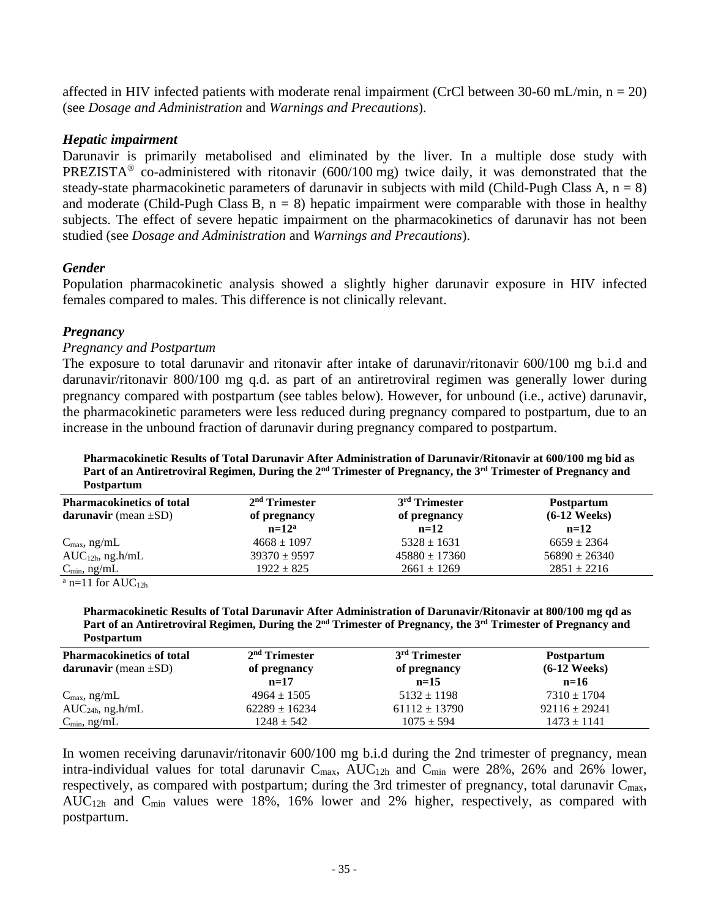affected in HIV infected patients with moderate renal impairment (CrCl between 30-60 mL/min,  $n = 20$ ) (see *Dosage and Administration* and *Warnings and Precautions*).

#### *Hepatic impairment*

Darunavir is primarily metabolised and eliminated by the liver. In a multiple dose study with PREZISTA<sup>®</sup> co-administered with ritonavir (600/100 mg) twice daily, it was demonstrated that the steady-state pharmacokinetic parameters of darunavir in subjects with mild (Child-Pugh Class A,  $n = 8$ ) and moderate (Child-Pugh Class B,  $n = 8$ ) hepatic impairment were comparable with those in healthy subjects. The effect of severe hepatic impairment on the pharmacokinetics of darunavir has not been studied (see *Dosage and Administration* and *Warnings and Precautions*).

#### *Gender*

Population pharmacokinetic analysis showed a slightly higher darunavir exposure in HIV infected females compared to males. This difference is not clinically relevant.

#### *Pregnancy*

#### *Pregnancy and Postpartum*

The exposure to total darunavir and ritonavir after intake of darunavir/ritonavir 600/100 mg b.i.d and darunavir/ritonavir 800/100 mg q.d. as part of an antiretroviral regimen was generally lower during pregnancy compared with postpartum (see tables below). However, for unbound (i.e., active) darunavir, the pharmacokinetic parameters were less reduced during pregnancy compared to postpartum, due to an increase in the unbound fraction of darunavir during pregnancy compared to postpartum.

**Pharmacokinetic Results of Total Darunavir After Administration of Darunavir/Ritonavir at 600/100 mg bid as Part of an Antiretroviral Regimen, During the 2nd Trimester of Pregnancy, the 3rd Trimester of Pregnancy and Postpartum**

| <b>Pharmacokinetics of total</b> | $2nd$ Trimester  | 3 <sup>rd</sup> Trimester | <b>Postpartum</b> |
|----------------------------------|------------------|---------------------------|-------------------|
| darunavir (mean $\pm SD$ )       | of pregnancy     | of pregnancy              | $(6-12$ Weeks)    |
|                                  | $n=12^a$         | $n=12$                    | $n=12$            |
| $C_{\text{max}}$ , ng/mL         | $4668 \pm 1097$  | $5328 \pm 1631$           | $6659 \pm 2364$   |
| $AUC_{12h}$ , ng.h/mL            | $39370 \pm 9597$ | $45880 \pm 17360$         | $56890 \pm 26340$ |
| $C_{\text{min}}$ , ng/mL         | $1922 \pm 825$   | $2661 \pm 1269$           | $2851 \pm 2216$   |
| $9 \t 110 \t 1170$               |                  |                           |                   |

 $a$  n=11 for AUC<sub>12h</sub>

**Pharmacokinetic Results of Total Darunavir After Administration of Darunavir/Ritonavir at 800/100 mg qd as Part of an Antiretroviral Regimen, During the 2nd Trimester of Pregnancy, the 3rd Trimester of Pregnancy and Postpartum**

| <b>Pharmacokinetics of total</b><br>darunavir (mean $\pm SD$ ) | $2nd$ Trimester<br>of pregnancy<br>$n=17$ | 3 <sup>rd</sup> Trimester<br>of pregnancy<br>$n=15$ | <b>Postpartum</b><br>$(6-12$ Weeks)<br>$n=16$ |
|----------------------------------------------------------------|-------------------------------------------|-----------------------------------------------------|-----------------------------------------------|
| $C_{\text{max}}$ , ng/mL                                       | $4964 \pm 1505$                           | $5132 \pm 1198$                                     | $7310 \pm 1704$                               |
| $AUC24h$ , ng.h/mL                                             | $62289 \pm 16234$                         | $61112 \pm 13790$                                   | $92116 \pm 29241$                             |
| $C_{\min}$ , ng/mL                                             | $1248 \pm 542$                            | $1075 \pm 594$                                      | $1473 \pm 1141$                               |

In women receiving darunavir/ritonavir 600/100 mg b.i.d during the 2nd trimester of pregnancy, mean intra-individual values for total darunavir  $C_{\text{max}}$ ,  $AUC_{12h}$  and  $C_{\text{min}}$  were 28%, 26% and 26% lower, respectively, as compared with postpartum; during the 3rd trimester of pregnancy, total darunavir  $C_{\text{max}}$ , AUC12h and Cmin values were 18%, 16% lower and 2% higher, respectively, as compared with postpartum.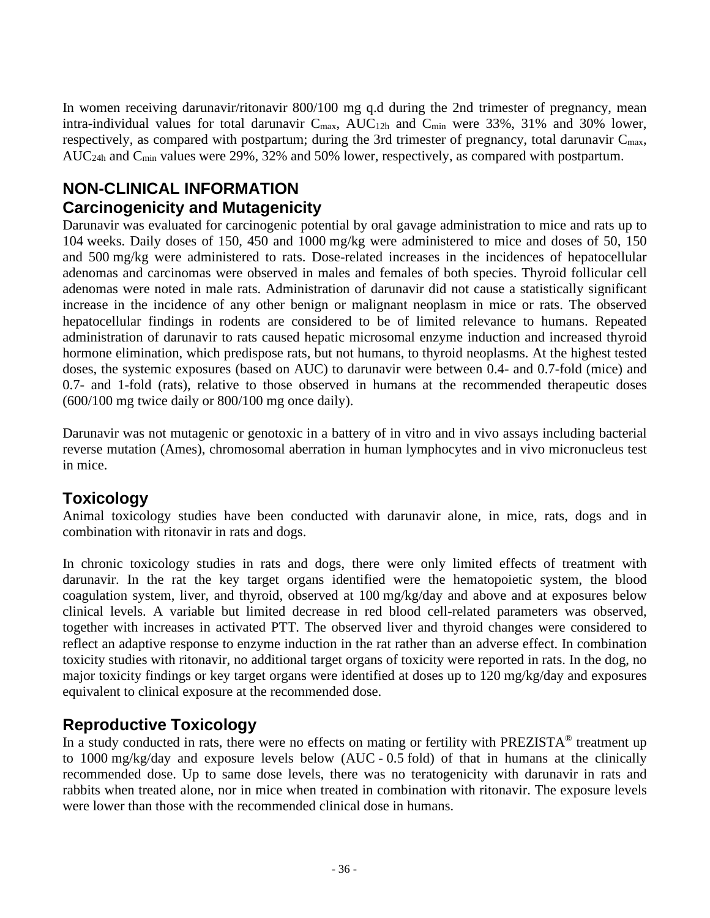In women receiving darunavir/ritonavir 800/100 mg q.d during the 2nd trimester of pregnancy, mean intra-individual values for total darunavir  $C_{\text{max}}$ , AUC<sub>12h</sub> and  $C_{\text{min}}$  were 33%, 31% and 30% lower, respectively, as compared with postpartum; during the 3rd trimester of pregnancy, total darunavir  $C_{\text{max}}$ , AUC<sub>24h</sub> and C<sub>min</sub> values were 29%, 32% and 50% lower, respectively, as compared with postpartum.

# **NON-CLINICAL INFORMATION Carcinogenicity and Mutagenicity**

Darunavir was evaluated for carcinogenic potential by oral gavage administration to mice and rats up to 104 weeks. Daily doses of 150, 450 and 1000 mg/kg were administered to mice and doses of 50, 150 and 500 mg/kg were administered to rats. Dose-related increases in the incidences of hepatocellular adenomas and carcinomas were observed in males and females of both species. Thyroid follicular cell adenomas were noted in male rats. Administration of darunavir did not cause a statistically significant increase in the incidence of any other benign or malignant neoplasm in mice or rats. The observed hepatocellular findings in rodents are considered to be of limited relevance to humans. Repeated administration of darunavir to rats caused hepatic microsomal enzyme induction and increased thyroid hormone elimination, which predispose rats, but not humans, to thyroid neoplasms. At the highest tested doses, the systemic exposures (based on AUC) to darunavir were between 0.4- and 0.7-fold (mice) and 0.7- and 1-fold (rats), relative to those observed in humans at the recommended therapeutic doses (600/100 mg twice daily or 800/100 mg once daily).

Darunavir was not mutagenic or genotoxic in a battery of in vitro and in vivo assays including bacterial reverse mutation (Ames), chromosomal aberration in human lymphocytes and in vivo micronucleus test in mice.

# **Toxicology**

Animal toxicology studies have been conducted with darunavir alone, in mice, rats, dogs and in combination with ritonavir in rats and dogs.

In chronic toxicology studies in rats and dogs, there were only limited effects of treatment with darunavir. In the rat the key target organs identified were the hematopoietic system, the blood coagulation system, liver, and thyroid, observed at 100 mg/kg/day and above and at exposures below clinical levels. A variable but limited decrease in red blood cell-related parameters was observed, together with increases in activated PTT. The observed liver and thyroid changes were considered to reflect an adaptive response to enzyme induction in the rat rather than an adverse effect. In combination toxicity studies with ritonavir, no additional target organs of toxicity were reported in rats. In the dog, no major toxicity findings or key target organs were identified at doses up to 120 mg/kg/day and exposures equivalent to clinical exposure at the recommended dose.

# **Reproductive Toxicology**

In a study conducted in rats, there were no effects on mating or fertility with PREZISTA<sup>®</sup> treatment up to 1000 mg/kg/day and exposure levels below (AUC - 0.5 fold) of that in humans at the clinically recommended dose. Up to same dose levels, there was no teratogenicity with darunavir in rats and rabbits when treated alone, nor in mice when treated in combination with ritonavir. The exposure levels were lower than those with the recommended clinical dose in humans.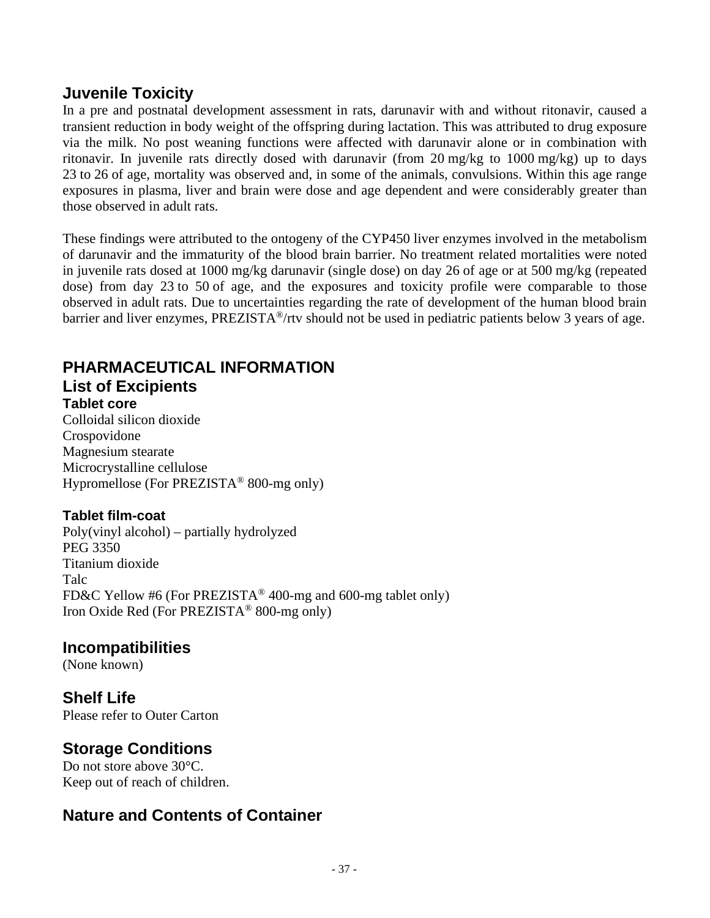## **Juvenile Toxicity**

In a pre and postnatal development assessment in rats, darunavir with and without ritonavir, caused a transient reduction in body weight of the offspring during lactation. This was attributed to drug exposure via the milk. No post weaning functions were affected with darunavir alone or in combination with ritonavir. In juvenile rats directly dosed with darunavir (from 20 mg/kg to 1000 mg/kg) up to days 23 to 26 of age, mortality was observed and, in some of the animals, convulsions. Within this age range exposures in plasma, liver and brain were dose and age dependent and were considerably greater than those observed in adult rats.

These findings were attributed to the ontogeny of the CYP450 liver enzymes involved in the metabolism of darunavir and the immaturity of the blood brain barrier. No treatment related mortalities were noted in juvenile rats dosed at 1000 mg/kg darunavir (single dose) on day 26 of age or at 500 mg/kg (repeated dose) from day 23 to 50 of age, and the exposures and toxicity profile were comparable to those observed in adult rats. Due to uncertainties regarding the rate of development of the human blood brain barrier and liver enzymes, PREZISTA®/rtv should not be used in pediatric patients below 3 years of age.

## **PHARMACEUTICAL INFORMATION List of Excipients**

### **Tablet core** Colloidal silicon dioxide Crospovidone Magnesium stearate Microcrystalline cellulose Hypromellose (For PREZISTA® 800-mg only)

### **Tablet film-coat**

Poly(vinyl alcohol) – partially hydrolyzed PEG 3350 Titanium dioxide Talc FD&C Yellow #6 (For PREZISTA® 400-mg and 600-mg tablet only) Iron Oxide Red (For PREZISTA® 800-mg only)

## **Incompatibilities**

(None known)

# **Shelf Life**

Please refer to Outer Carton

## **Storage Conditions**

Do not store above 30°C. Keep out of reach of children.

## **Nature and Contents of Container**